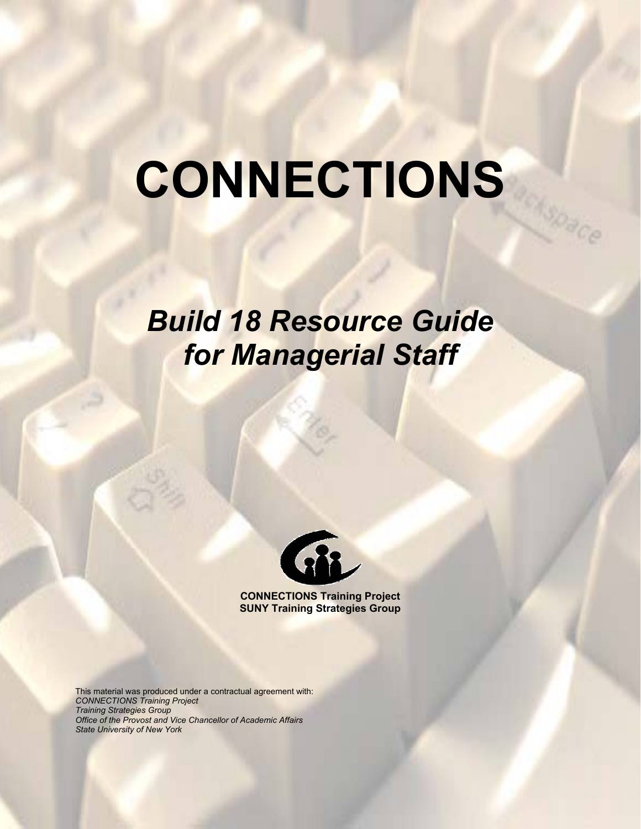# **CONNECTIONS**

**SORCE** 

# *Build 18 Resource Guide for Managerial Staff*



**CONNECTIONS Training Project SUNY Training Strategies Group** 

This material was produced under a contractual agreement with: *CONNECTIONS Training Project Training Strategies Group Office of the Provost and Vice Chancellor of Academic Affairs State University of New York*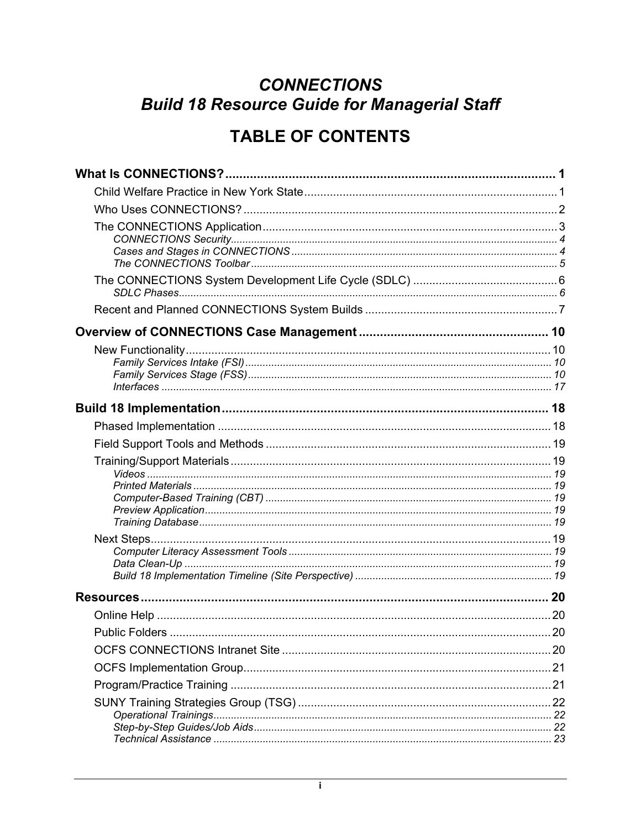# **CONNECTIONS Build 18 Resource Guide for Managerial Staff**

# **TABLE OF CONTENTS**

| <b>Public Folders</b><br>. 20 |  |
|-------------------------------|--|
|                               |  |
|                               |  |
|                               |  |
|                               |  |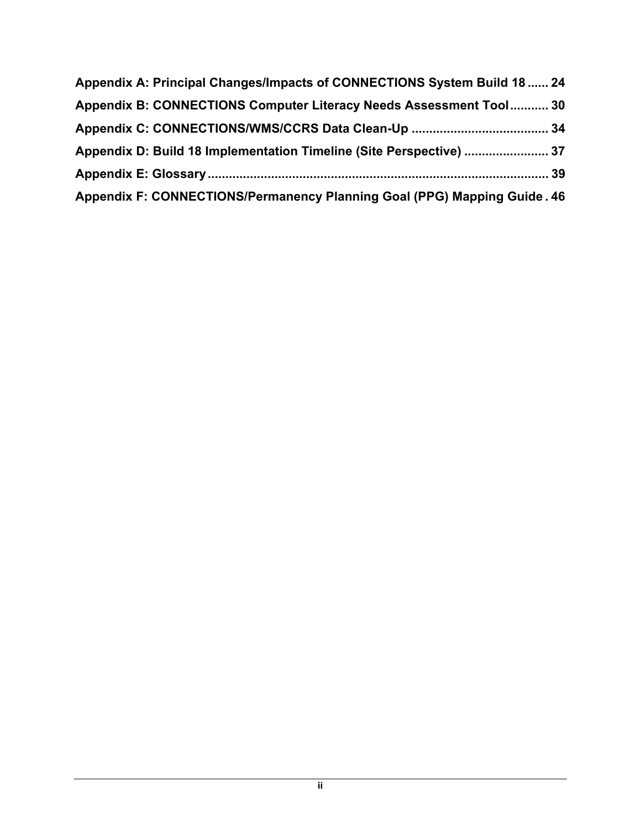| Appendix A: Principal Changes/Impacts of CONNECTIONS System Build 18  24 |  |
|--------------------------------------------------------------------------|--|
| Appendix B: CONNECTIONS Computer Literacy Needs Assessment Tool 30       |  |
|                                                                          |  |
| Appendix D: Build 18 Implementation Timeline (Site Perspective)  37      |  |
|                                                                          |  |
| Appendix F: CONNECTIONS/Permanency Planning Goal (PPG) Mapping Guide. 46 |  |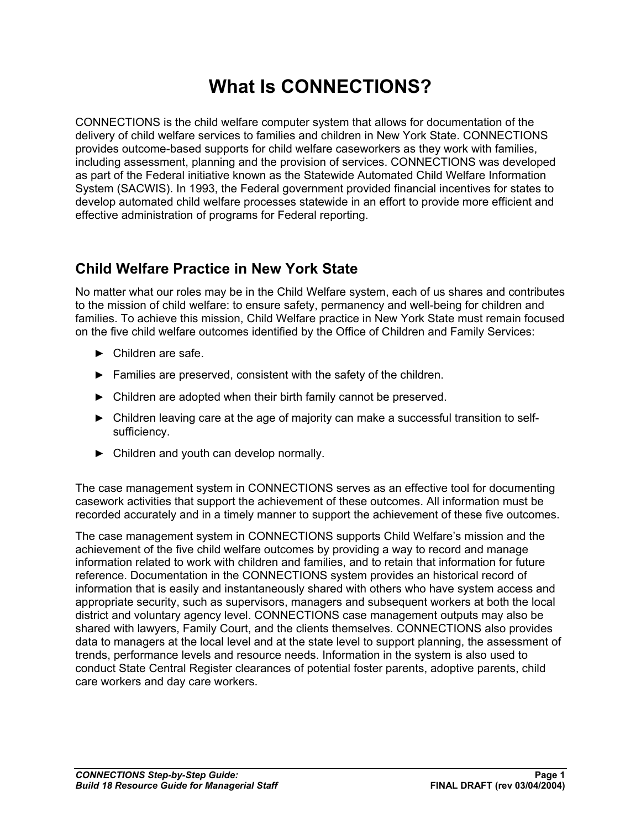# **What Is CONNECTIONS?**

CONNECTIONS is the child welfare computer system that allows for documentation of the delivery of child welfare services to families and children in New York State. CONNECTIONS provides outcome-based supports for child welfare caseworkers as they work with families, including assessment, planning and the provision of services. CONNECTIONS was developed as part of the Federal initiative known as the Statewide Automated Child Welfare Information System (SACWIS). In 1993, the Federal government provided financial incentives for states to develop automated child welfare processes statewide in an effort to provide more efficient and effective administration of programs for Federal reporting.

## **Child Welfare Practice in New York State**

No matter what our roles may be in the Child Welfare system, each of us shares and contributes to the mission of child welfare: to ensure safety, permanency and well-being for children and families. To achieve this mission, Child Welfare practice in New York State must remain focused on the five child welfare outcomes identified by the Office of Children and Family Services:

- ► Children are safe.
- ► Families are preserved, consistent with the safety of the children.
- ► Children are adopted when their birth family cannot be preserved.
- ► Children leaving care at the age of majority can make a successful transition to selfsufficiency.
- ► Children and youth can develop normally.

The case management system in CONNECTIONS serves as an effective tool for documenting casework activities that support the achievement of these outcomes. All information must be recorded accurately and in a timely manner to support the achievement of these five outcomes.

The case management system in CONNECTIONS supports Child Welfare's mission and the achievement of the five child welfare outcomes by providing a way to record and manage information related to work with children and families, and to retain that information for future reference. Documentation in the CONNECTIONS system provides an historical record of information that is easily and instantaneously shared with others who have system access and appropriate security, such as supervisors, managers and subsequent workers at both the local district and voluntary agency level. CONNECTIONS case management outputs may also be shared with lawyers, Family Court, and the clients themselves. CONNECTIONS also provides data to managers at the local level and at the state level to support planning, the assessment of trends, performance levels and resource needs. Information in the system is also used to conduct State Central Register clearances of potential foster parents, adoptive parents, child care workers and day care workers.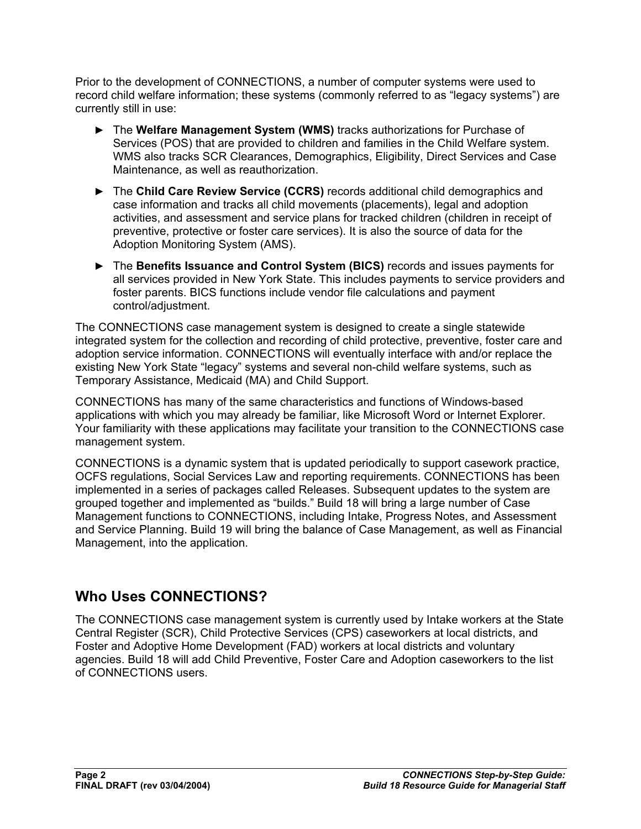Prior to the development of CONNECTIONS, a number of computer systems were used to record child welfare information; these systems (commonly referred to as "legacy systems") are currently still in use:

- ► The **Welfare Management System (WMS)** tracks authorizations for Purchase of Services (POS) that are provided to children and families in the Child Welfare system. WMS also tracks SCR Clearances, Demographics, Eligibility, Direct Services and Case Maintenance, as well as reauthorization.
- ► The **Child Care Review Service (CCRS)** records additional child demographics and case information and tracks all child movements (placements), legal and adoption activities, and assessment and service plans for tracked children (children in receipt of preventive, protective or foster care services). It is also the source of data for the Adoption Monitoring System (AMS).
- ► The **Benefits Issuance and Control System (BICS)** records and issues payments for all services provided in New York State. This includes payments to service providers and foster parents. BICS functions include vendor file calculations and payment control/adjustment.

The CONNECTIONS case management system is designed to create a single statewide integrated system for the collection and recording of child protective, preventive, foster care and adoption service information. CONNECTIONS will eventually interface with and/or replace the existing New York State "legacy" systems and several non-child welfare systems, such as Temporary Assistance, Medicaid (MA) and Child Support.

CONNECTIONS has many of the same characteristics and functions of Windows-based applications with which you may already be familiar, like Microsoft Word or Internet Explorer. Your familiarity with these applications may facilitate your transition to the CONNECTIONS case management system.

CONNECTIONS is a dynamic system that is updated periodically to support casework practice, OCFS regulations, Social Services Law and reporting requirements. CONNECTIONS has been implemented in a series of packages called Releases. Subsequent updates to the system are grouped together and implemented as "builds." Build 18 will bring a large number of Case Management functions to CONNECTIONS, including Intake, Progress Notes, and Assessment and Service Planning. Build 19 will bring the balance of Case Management, as well as Financial Management, into the application.

## **Who Uses CONNECTIONS?**

The CONNECTIONS case management system is currently used by Intake workers at the State Central Register (SCR), Child Protective Services (CPS) caseworkers at local districts, and Foster and Adoptive Home Development (FAD) workers at local districts and voluntary agencies. Build 18 will add Child Preventive, Foster Care and Adoption caseworkers to the list of CONNECTIONS users.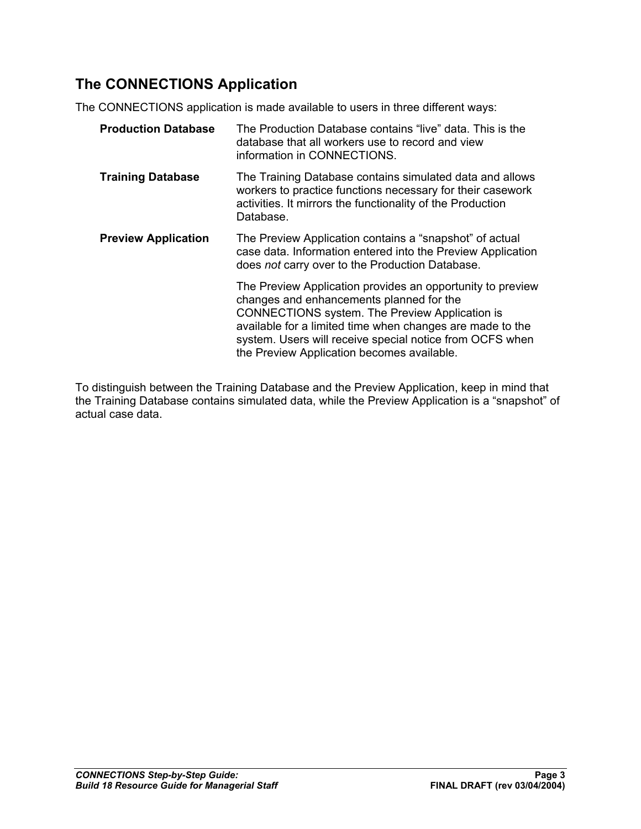# **The CONNECTIONS Application**

The CONNECTIONS application is made available to users in three different ways:

| <b>Production Database</b> | The Production Database contains "live" data. This is the<br>database that all workers use to record and view<br>information in CONNECTIONS.                                                                                                                                                                                           |
|----------------------------|----------------------------------------------------------------------------------------------------------------------------------------------------------------------------------------------------------------------------------------------------------------------------------------------------------------------------------------|
| <b>Training Database</b>   | The Training Database contains simulated data and allows<br>workers to practice functions necessary for their casework<br>activities. It mirrors the functionality of the Production<br>Database.                                                                                                                                      |
| <b>Preview Application</b> | The Preview Application contains a "snapshot" of actual<br>case data. Information entered into the Preview Application<br>does not carry over to the Production Database.                                                                                                                                                              |
|                            | The Preview Application provides an opportunity to preview<br>changes and enhancements planned for the<br><b>CONNECTIONS</b> system. The Preview Application is<br>available for a limited time when changes are made to the<br>system. Users will receive special notice from OCFS when<br>the Preview Application becomes available. |

To distinguish between the Training Database and the Preview Application, keep in mind that the Training Database contains simulated data, while the Preview Application is a "snapshot" of actual case data.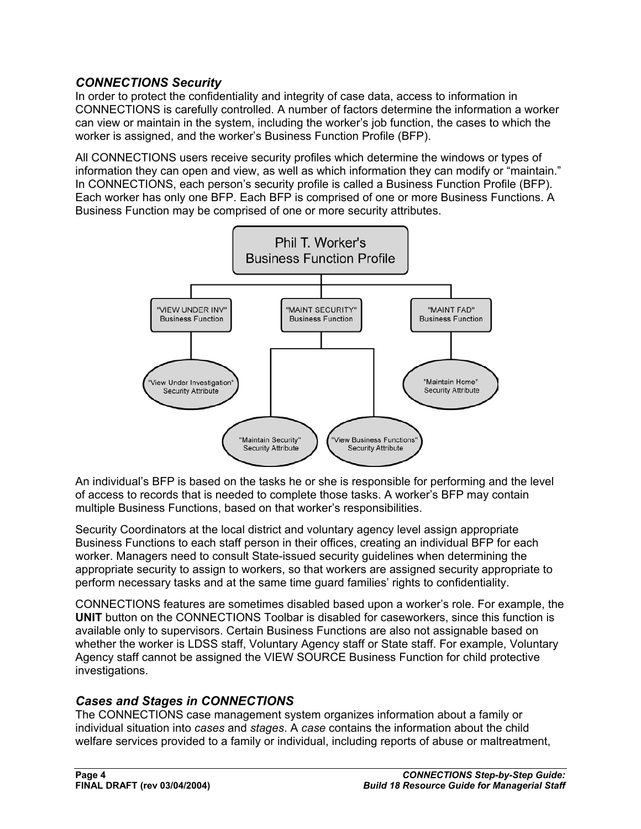#### *CONNECTIONS Security*

In order to protect the confidentiality and integrity of case data, access to information in CONNECTIONS is carefully controlled. A number of factors determine the information a worker can view or maintain in the system, including the worker's job function, the cases to which the worker is assigned, and the worker's Business Function Profile (BFP).

All CONNECTIONS users receive security profiles which determine the windows or types of information they can open and view, as well as which information they can modify or "maintain." In CONNECTIONS, each person's security profile is called a Business Function Profile (BFP). Each worker has only one BFP. Each BFP is comprised of one or more Business Functions. A Business Function may be comprised of one or more security attributes.



An individual's BFP is based on the tasks he or she is responsible for performing and the level of access to records that is needed to complete those tasks. A worker's BFP may contain multiple Business Functions, based on that worker's responsibilities.

Security Coordinators at the local district and voluntary agency level assign appropriate Business Functions to each staff person in their offices, creating an individual BFP for each worker. Managers need to consult State-issued security guidelines when determining the appropriate security to assign to workers, so that workers are assigned security appropriate to perform necessary tasks and at the same time guard families' rights to confidentiality.

CONNECTIONS features are sometimes disabled based upon a worker's role. For example, the **UNIT** button on the CONNECTIONS Toolbar is disabled for caseworkers, since this function is available only to supervisors. Certain Business Functions are also not assignable based on whether the worker is LDSS staff, Voluntary Agency staff or State staff. For example, Voluntary Agency staff cannot be assigned the VIEW SOURCE Business Function for child protective investigations.

#### *Cases and Stages in CONNECTIONS*

The CONNECTIONS case management system organizes information about a family or individual situation into *cases* and *stages*. A *case* contains the information about the child welfare services provided to a family or individual, including reports of abuse or maltreatment,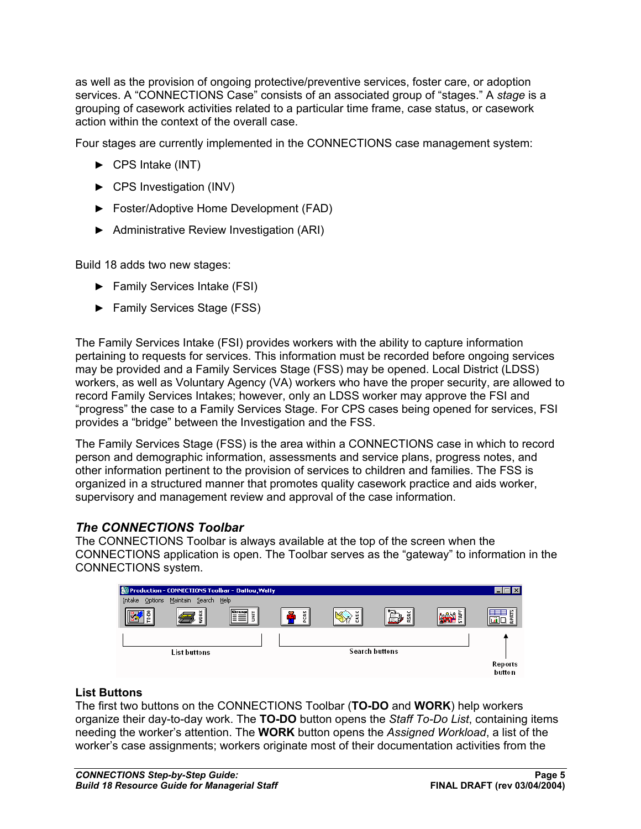as well as the provision of ongoing protective/preventive services, foster care, or adoption services. A "CONNECTIONS Case" consists of an associated group of "stages." A *stage* is a grouping of casework activities related to a particular time frame, case status, or casework action within the context of the overall case.

Four stages are currently implemented in the CONNECTIONS case management system:

- ► CPS Intake (INT)
- ► CPS Investigation (INV)
- ► Foster/Adoptive Home Development (FAD)
- ► Administrative Review Investigation (ARI)

Build 18 adds two new stages:

- ► Family Services Intake (FSI)
- ► Family Services Stage (FSS)

The Family Services Intake (FSI) provides workers with the ability to capture information pertaining to requests for services. This information must be recorded before ongoing services may be provided and a Family Services Stage (FSS) may be opened. Local District (LDSS) workers, as well as Voluntary Agency (VA) workers who have the proper security, are allowed to record Family Services Intakes; however, only an LDSS worker may approve the FSI and "progress" the case to a Family Services Stage. For CPS cases being opened for services, FSI provides a "bridge" between the Investigation and the FSS.

The Family Services Stage (FSS) is the area within a CONNECTIONS case in which to record person and demographic information, assessments and service plans, progress notes, and other information pertinent to the provision of services to children and families. The FSS is organized in a structured manner that promotes quality casework practice and aids worker, supervisory and management review and approval of the case information.

#### *The CONNECTIONS Toolbar*

The CONNECTIONS Toolbar is always available at the top of the screen when the CONNECTIONS application is open. The Toolbar serves as the "gateway" to information in the CONNECTIONS system.



#### **List Buttons**

The first two buttons on the CONNECTIONS Toolbar (**TO-DO** and **WORK**) help workers organize their day-to-day work. The **TO-DO** button opens the *Staff To-Do List*, containing items needing the worker's attention. The **WORK** button opens the *Assigned Workload*, a list of the worker's case assignments; workers originate most of their documentation activities from the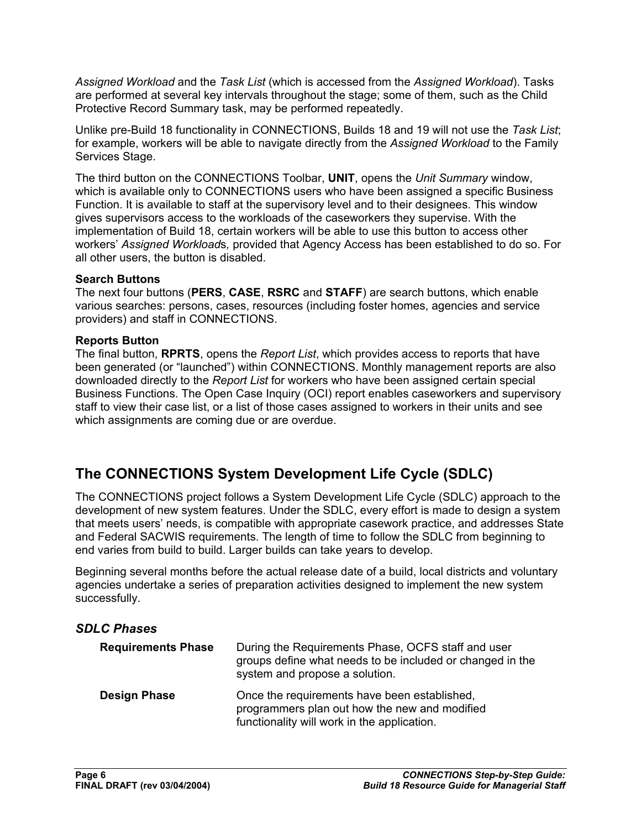*Assigned Workload* and the *Task List* (which is accessed from the *Assigned Workload*). Tasks are performed at several key intervals throughout the stage; some of them, such as the Child Protective Record Summary task, may be performed repeatedly.

Unlike pre-Build 18 functionality in CONNECTIONS, Builds 18 and 19 will not use the *Task List*; for example, workers will be able to navigate directly from the *Assigned Workload* to the Family Services Stage.

The third button on the CONNECTIONS Toolbar, **UNIT**, opens the *Unit Summary* window, which is available only to CONNECTIONS users who have been assigned a specific Business Function. It is available to staff at the supervisory level and to their designees. This window gives supervisors access to the workloads of the caseworkers they supervise. With the implementation of Build 18, certain workers will be able to use this button to access other workers' *Assigned Workload*s*,* provided that Agency Access has been established to do so. For all other users, the button is disabled.

#### **Search Buttons**

The next four buttons (**PERS**, **CASE**, **RSRC** and **STAFF**) are search buttons, which enable various searches: persons, cases, resources (including foster homes, agencies and service providers) and staff in CONNECTIONS.

#### **Reports Button**

The final button, **RPRTS**, opens the *Report List*, which provides access to reports that have been generated (or "launched") within CONNECTIONS. Monthly management reports are also downloaded directly to the *Report List* for workers who have been assigned certain special Business Functions. The Open Case Inquiry (OCI) report enables caseworkers and supervisory staff to view their case list, or a list of those cases assigned to workers in their units and see which assignments are coming due or are overdue.

## **The CONNECTIONS System Development Life Cycle (SDLC)**

The CONNECTIONS project follows a System Development Life Cycle (SDLC) approach to the development of new system features. Under the SDLC, every effort is made to design a system that meets users' needs, is compatible with appropriate casework practice, and addresses State and Federal SACWIS requirements. The length of time to follow the SDLC from beginning to end varies from build to build. Larger builds can take years to develop.

Beginning several months before the actual release date of a build, local districts and voluntary agencies undertake a series of preparation activities designed to implement the new system successfully.

#### *SDLC Phases*

| <b>Requirements Phase</b> | During the Requirements Phase, OCFS staff and user<br>groups define what needs to be included or changed in the<br>system and propose a solution. |
|---------------------------|---------------------------------------------------------------------------------------------------------------------------------------------------|
| <b>Design Phase</b>       | Once the requirements have been established.<br>programmers plan out how the new and modified<br>functionality will work in the application.      |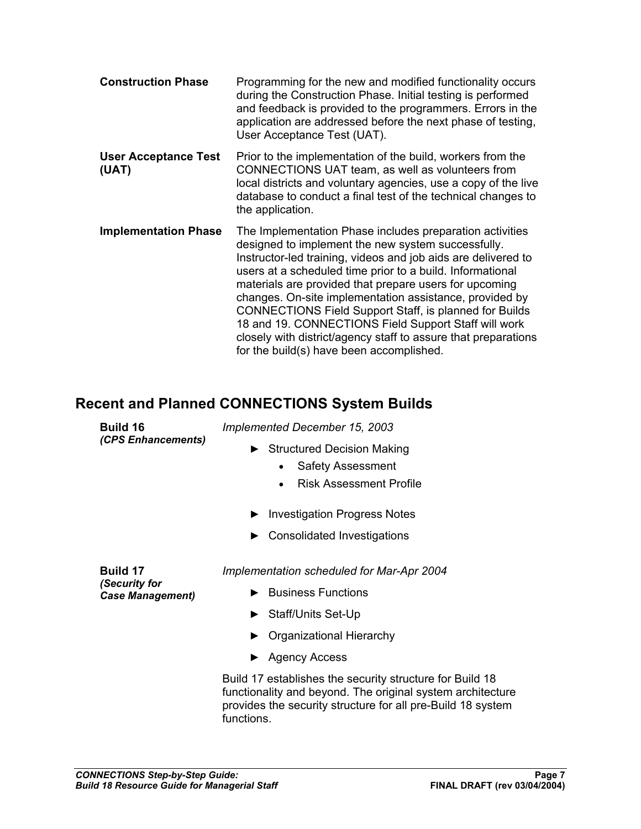| <b>Construction Phase</b>            | Programming for the new and modified functionality occurs<br>during the Construction Phase. Initial testing is performed<br>and feedback is provided to the programmers. Errors in the<br>application are addressed before the next phase of testing,<br>User Acceptance Test (UAT).                                                                                                                                                                                                                                                                                                                     |
|--------------------------------------|----------------------------------------------------------------------------------------------------------------------------------------------------------------------------------------------------------------------------------------------------------------------------------------------------------------------------------------------------------------------------------------------------------------------------------------------------------------------------------------------------------------------------------------------------------------------------------------------------------|
| <b>User Acceptance Test</b><br>(UAT) | Prior to the implementation of the build, workers from the<br>CONNECTIONS UAT team, as well as volunteers from<br>local districts and voluntary agencies, use a copy of the live<br>database to conduct a final test of the technical changes to<br>the application.                                                                                                                                                                                                                                                                                                                                     |
| <b>Implementation Phase</b>          | The Implementation Phase includes preparation activities<br>designed to implement the new system successfully.<br>Instructor-led training, videos and job aids are delivered to<br>users at a scheduled time prior to a build. Informational<br>materials are provided that prepare users for upcoming<br>changes. On-site implementation assistance, provided by<br><b>CONNECTIONS Field Support Staff, is planned for Builds</b><br>18 and 19. CONNECTIONS Field Support Staff will work<br>closely with district/agency staff to assure that preparations<br>for the build(s) have been accomplished. |

# **Recent and Planned CONNECTIONS System Builds**

| <b>Build 16</b>                          | Implemented December 15, 2003                                                                                                                                                                       |
|------------------------------------------|-----------------------------------------------------------------------------------------------------------------------------------------------------------------------------------------------------|
| (CPS Enhancements)                       | <b>Structured Decision Making</b><br><b>Safety Assessment</b><br>$\bullet$<br><b>Risk Assessment Profile</b><br>$\bullet$                                                                           |
|                                          |                                                                                                                                                                                                     |
|                                          | <b>Investigation Progress Notes</b>                                                                                                                                                                 |
|                                          | Consolidated Investigations                                                                                                                                                                         |
| <b>Build 17</b>                          | Implementation scheduled for Mar-Apr 2004                                                                                                                                                           |
| (Security for<br><b>Case Management)</b> | <b>Business Functions</b>                                                                                                                                                                           |
|                                          | Staff/Units Set-Up                                                                                                                                                                                  |
|                                          | Organizational Hierarchy                                                                                                                                                                            |
|                                          | ► Agency Access                                                                                                                                                                                     |
|                                          | Build 17 establishes the security structure for Build 18<br>functionality and beyond. The original system architecture<br>provides the security structure for all pre-Build 18 system<br>functions. |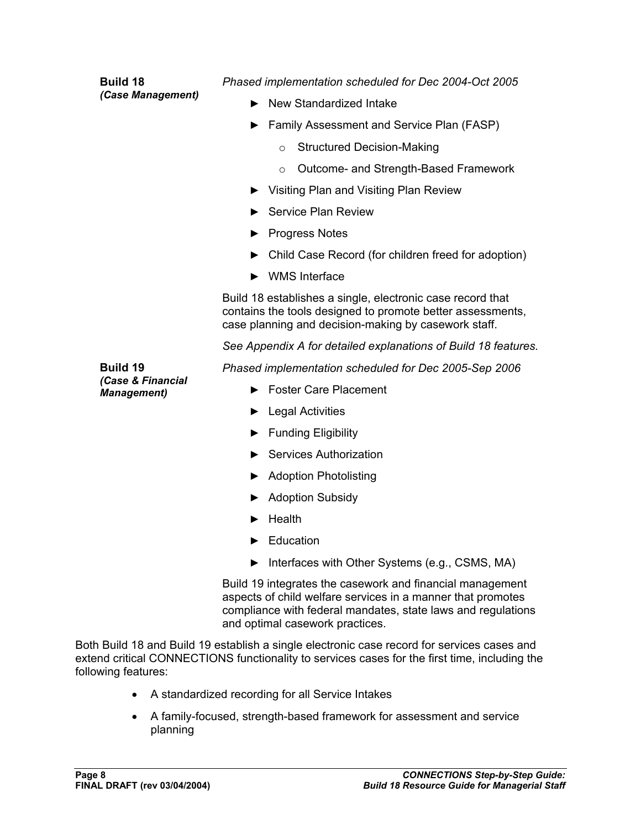| <b>Build 18</b>                         | Phased implementation scheduled for Dec 2004-Oct 2005                                                                                                                                                                       |
|-----------------------------------------|-----------------------------------------------------------------------------------------------------------------------------------------------------------------------------------------------------------------------------|
| (Case Management)                       | New Standardized Intake                                                                                                                                                                                                     |
|                                         | Family Assessment and Service Plan (FASP)                                                                                                                                                                                   |
|                                         | <b>Structured Decision-Making</b><br>$\circ$                                                                                                                                                                                |
|                                         | Outcome- and Strength-Based Framework<br>$\circ$                                                                                                                                                                            |
|                                         | ▶ Visiting Plan and Visiting Plan Review                                                                                                                                                                                    |
|                                         | <b>Service Plan Review</b>                                                                                                                                                                                                  |
|                                         | <b>Progress Notes</b>                                                                                                                                                                                                       |
|                                         | Child Case Record (for children freed for adoption)                                                                                                                                                                         |
|                                         | <b>WMS</b> Interface                                                                                                                                                                                                        |
|                                         | Build 18 establishes a single, electronic case record that<br>contains the tools designed to promote better assessments,<br>case planning and decision-making by casework staff.                                            |
|                                         | See Appendix A for detailed explanations of Build 18 features.                                                                                                                                                              |
| <b>Build 19</b>                         | Phased implementation scheduled for Dec 2005-Sep 2006                                                                                                                                                                       |
| (Case & Financial<br><b>Management)</b> | <b>Foster Care Placement</b>                                                                                                                                                                                                |
|                                         | Legal Activities                                                                                                                                                                                                            |
|                                         | <b>Funding Eligibility</b>                                                                                                                                                                                                  |
|                                         | <b>Services Authorization</b>                                                                                                                                                                                               |
|                                         | <b>Adoption Photolisting</b>                                                                                                                                                                                                |
|                                         | <b>Adoption Subsidy</b>                                                                                                                                                                                                     |
|                                         | Health                                                                                                                                                                                                                      |
|                                         | Education                                                                                                                                                                                                                   |
|                                         | Interfaces with Other Systems (e.g., CSMS, MA)                                                                                                                                                                              |
|                                         | Build 19 integrates the casework and financial management<br>aspects of child welfare services in a manner that promotes<br>compliance with federal mandates, state laws and regulations<br>and optimal casework practices. |

Both Build 18 and Build 19 establish a single electronic case record for services cases and extend critical CONNECTIONS functionality to services cases for the first time, including the following features:

- A standardized recording for all Service Intakes
- A family-focused, strength-based framework for assessment and service planning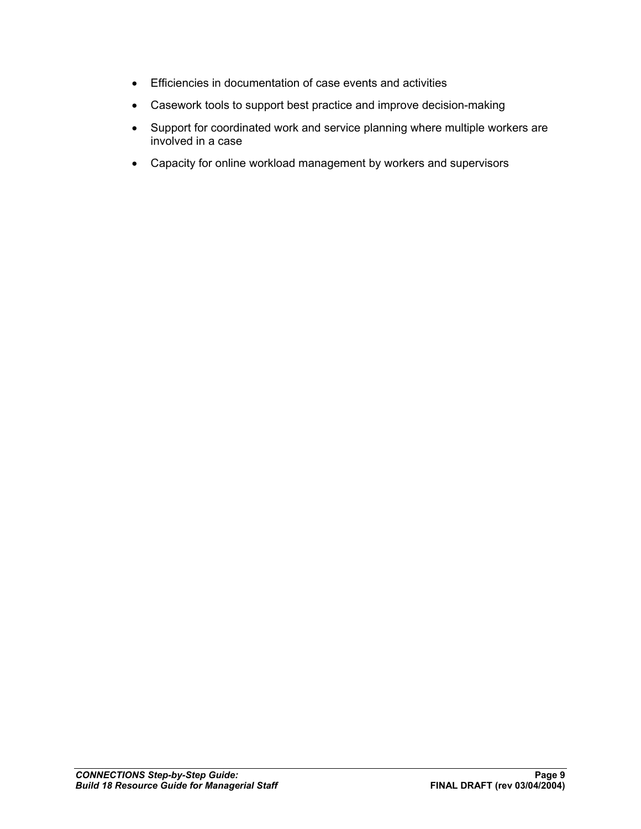- Efficiencies in documentation of case events and activities
- Casework tools to support best practice and improve decision-making
- Support for coordinated work and service planning where multiple workers are involved in a case
- Capacity for online workload management by workers and supervisors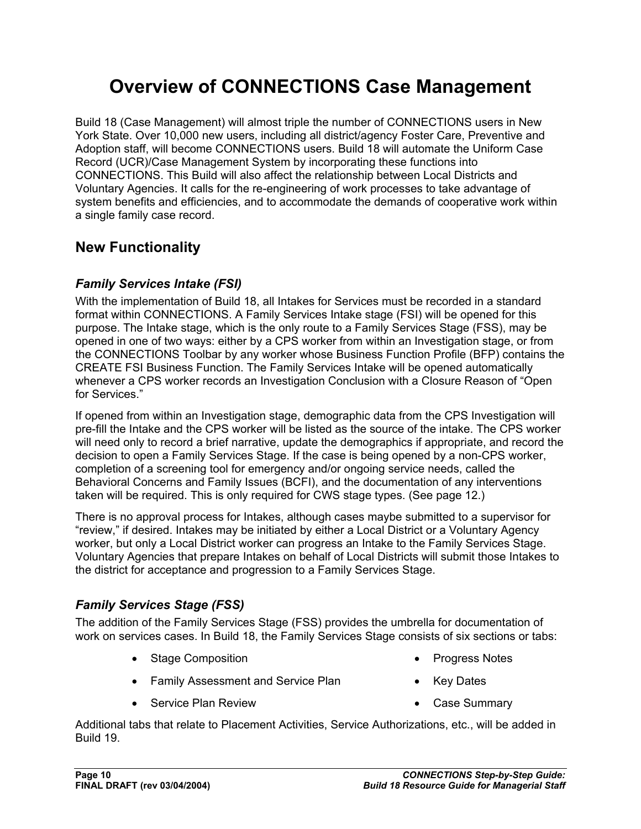# **Overview of CONNECTIONS Case Management**

Build 18 (Case Management) will almost triple the number of CONNECTIONS users in New York State. Over 10,000 new users, including all district/agency Foster Care, Preventive and Adoption staff, will become CONNECTIONS users. Build 18 will automate the Uniform Case Record (UCR)/Case Management System by incorporating these functions into CONNECTIONS. This Build will also affect the relationship between Local Districts and Voluntary Agencies. It calls for the re-engineering of work processes to take advantage of system benefits and efficiencies, and to accommodate the demands of cooperative work within a single family case record.

## **New Functionality**

#### *Family Services Intake (FSI)*

With the implementation of Build 18, all Intakes for Services must be recorded in a standard format within CONNECTIONS. A Family Services Intake stage (FSI) will be opened for this purpose. The Intake stage, which is the only route to a Family Services Stage (FSS), may be opened in one of two ways: either by a CPS worker from within an Investigation stage, or from the CONNECTIONS Toolbar by any worker whose Business Function Profile (BFP) contains the CREATE FSI Business Function. The Family Services Intake will be opened automatically whenever a CPS worker records an Investigation Conclusion with a Closure Reason of "Open for Services."

If opened from within an Investigation stage, demographic data from the CPS Investigation will pre-fill the Intake and the CPS worker will be listed as the source of the intake. The CPS worker will need only to record a brief narrative, update the demographics if appropriate, and record the decision to open a Family Services Stage. If the case is being opened by a non-CPS worker, completion of a screening tool for emergency and/or ongoing service needs, called the Behavioral Concerns and Family Issues (BCFI), and the documentation of any interventions taken will be required. This is only required for CWS stage types. (See page 12.)

There is no approval process for Intakes, although cases maybe submitted to a supervisor for "review," if desired. Intakes may be initiated by either a Local District or a Voluntary Agency worker, but only a Local District worker can progress an Intake to the Family Services Stage. Voluntary Agencies that prepare Intakes on behalf of Local Districts will submit those Intakes to the district for acceptance and progression to a Family Services Stage.

#### *Family Services Stage (FSS)*

The addition of the Family Services Stage (FSS) provides the umbrella for documentation of work on services cases. In Build 18, the Family Services Stage consists of six sections or tabs:

- Stage Composition
- Family Assessment and Service Plan
- Service Plan Review
- Progress Notes
- Key Dates
- Case Summary

Additional tabs that relate to Placement Activities, Service Authorizations, etc., will be added in Build 19.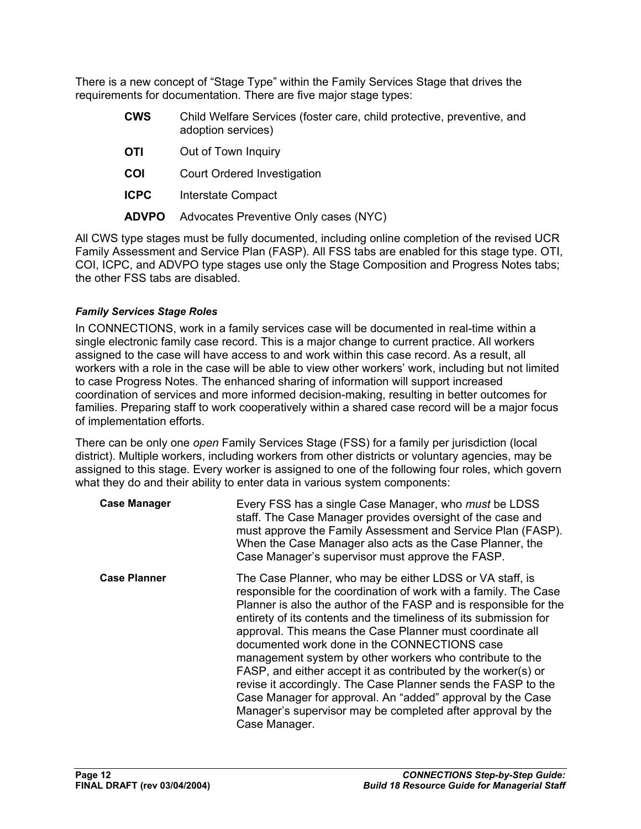There is a new concept of "Stage Type" within the Family Services Stage that drives the requirements for documentation. There are five major stage types:

- **CWS** Child Welfare Services (foster care, child protective, preventive, and adoption services)
- **OTI** Out of Town Inquiry
- **COI** Court Ordered Investigation
- **ICPC** Interstate Compact
- **ADVPO** Advocates Preventive Only cases (NYC)

All CWS type stages must be fully documented, including online completion of the revised UCR Family Assessment and Service Plan (FASP). All FSS tabs are enabled for this stage type. OTI, COI, ICPC, and ADVPO type stages use only the Stage Composition and Progress Notes tabs; the other FSS tabs are disabled.

#### *Family Services Stage Roles*

In CONNECTIONS, work in a family services case will be documented in real-time within a single electronic family case record. This is a major change to current practice. All workers assigned to the case will have access to and work within this case record. As a result, all workers with a role in the case will be able to view other workers' work, including but not limited to case Progress Notes. The enhanced sharing of information will support increased coordination of services and more informed decision-making, resulting in better outcomes for families. Preparing staff to work cooperatively within a shared case record will be a major focus of implementation efforts.

There can be only one *open* Family Services Stage (FSS) for a family per jurisdiction (local district). Multiple workers, including workers from other districts or voluntary agencies, may be assigned to this stage. Every worker is assigned to one of the following four roles, which govern what they do and their ability to enter data in various system components:

| <b>Case Manager</b> | Every FSS has a single Case Manager, who <i>must</i> be LDSS<br>staff. The Case Manager provides oversight of the case and<br>must approve the Family Assessment and Service Plan (FASP).<br>When the Case Manager also acts as the Case Planner, the<br>Case Manager's supervisor must approve the FASP.                                                                                                                                                                                                                                                                                                                                                                                                                       |
|---------------------|---------------------------------------------------------------------------------------------------------------------------------------------------------------------------------------------------------------------------------------------------------------------------------------------------------------------------------------------------------------------------------------------------------------------------------------------------------------------------------------------------------------------------------------------------------------------------------------------------------------------------------------------------------------------------------------------------------------------------------|
| <b>Case Planner</b> | The Case Planner, who may be either LDSS or VA staff, is<br>responsible for the coordination of work with a family. The Case<br>Planner is also the author of the FASP and is responsible for the<br>entirety of its contents and the timeliness of its submission for<br>approval. This means the Case Planner must coordinate all<br>documented work done in the CONNECTIONS case<br>management system by other workers who contribute to the<br>FASP, and either accept it as contributed by the worker(s) or<br>revise it accordingly. The Case Planner sends the FASP to the<br>Case Manager for approval. An "added" approval by the Case<br>Manager's supervisor may be completed after approval by the<br>Case Manager. |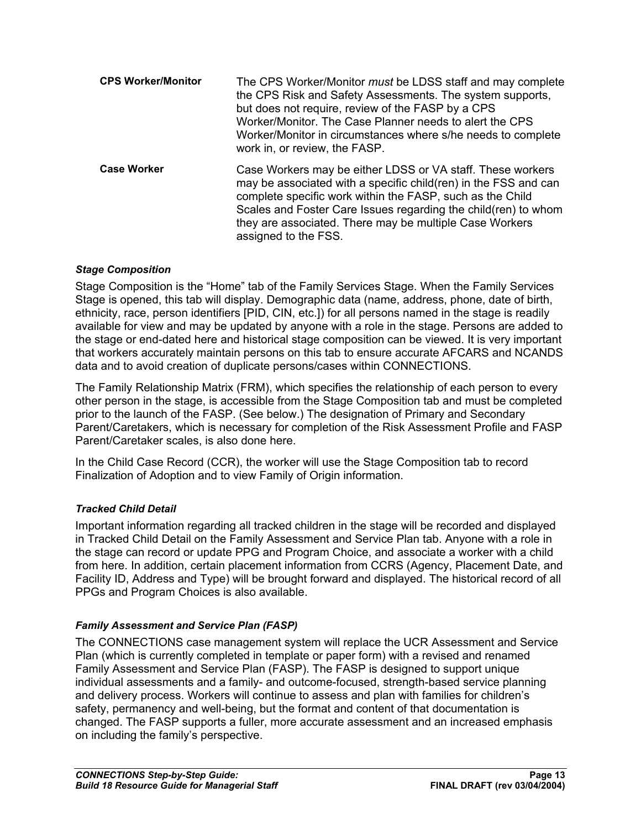| <b>CPS Worker/Monitor</b> | The CPS Worker/Monitor must be LDSS staff and may complete<br>the CPS Risk and Safety Assessments. The system supports,<br>but does not require, review of the FASP by a CPS<br>Worker/Monitor. The Case Planner needs to alert the CPS<br>Worker/Monitor in circumstances where s/he needs to complete<br>work in, or review, the FASP.        |
|---------------------------|-------------------------------------------------------------------------------------------------------------------------------------------------------------------------------------------------------------------------------------------------------------------------------------------------------------------------------------------------|
| <b>Case Worker</b>        | Case Workers may be either LDSS or VA staff. These workers<br>may be associated with a specific child(ren) in the FSS and can<br>complete specific work within the FASP, such as the Child<br>Scales and Foster Care Issues regarding the child(ren) to whom<br>they are associated. There may be multiple Case Workers<br>assigned to the FSS. |

#### *Stage Composition*

Stage Composition is the "Home" tab of the Family Services Stage. When the Family Services Stage is opened, this tab will display. Demographic data (name, address, phone, date of birth, ethnicity, race, person identifiers [PID, CIN, etc.]) for all persons named in the stage is readily available for view and may be updated by anyone with a role in the stage. Persons are added to the stage or end-dated here and historical stage composition can be viewed. It is very important that workers accurately maintain persons on this tab to ensure accurate AFCARS and NCANDS data and to avoid creation of duplicate persons/cases within CONNECTIONS.

The Family Relationship Matrix (FRM), which specifies the relationship of each person to every other person in the stage, is accessible from the Stage Composition tab and must be completed prior to the launch of the FASP. (See below.) The designation of Primary and Secondary Parent/Caretakers, which is necessary for completion of the Risk Assessment Profile and FASP Parent/Caretaker scales, is also done here.

In the Child Case Record (CCR), the worker will use the Stage Composition tab to record Finalization of Adoption and to view Family of Origin information.

#### *Tracked Child Detail*

Important information regarding all tracked children in the stage will be recorded and displayed in Tracked Child Detail on the Family Assessment and Service Plan tab. Anyone with a role in the stage can record or update PPG and Program Choice, and associate a worker with a child from here. In addition, certain placement information from CCRS (Agency, Placement Date, and Facility ID, Address and Type) will be brought forward and displayed. The historical record of all PPGs and Program Choices is also available.

#### *Family Assessment and Service Plan (FASP)*

The CONNECTIONS case management system will replace the UCR Assessment and Service Plan (which is currently completed in template or paper form) with a revised and renamed Family Assessment and Service Plan (FASP). The FASP is designed to support unique individual assessments and a family- and outcome-focused, strength-based service planning and delivery process. Workers will continue to assess and plan with families for children's safety, permanency and well-being, but the format and content of that documentation is changed. The FASP supports a fuller, more accurate assessment and an increased emphasis on including the family's perspective.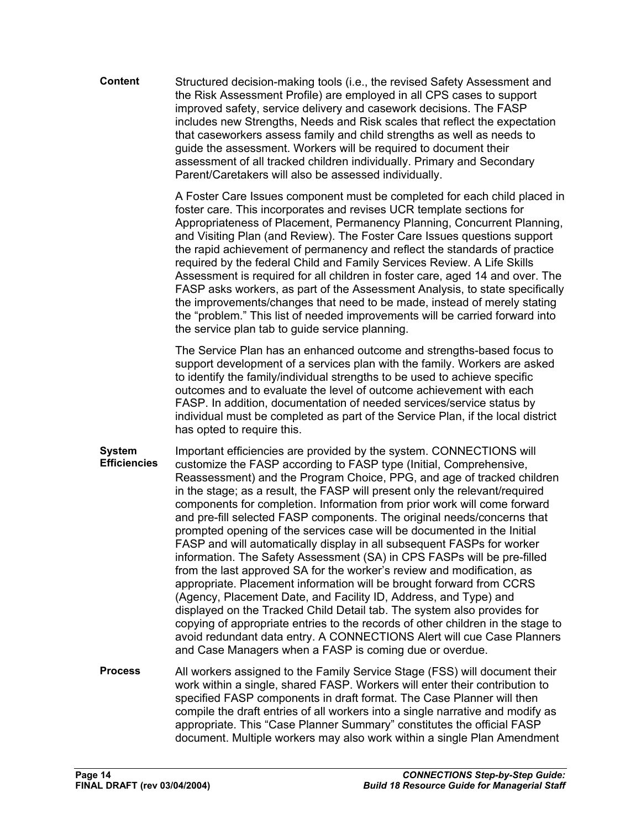**Content** Structured decision-making tools (i.e., the revised Safety Assessment and the Risk Assessment Profile) are employed in all CPS cases to support improved safety, service delivery and casework decisions. The FASP includes new Strengths, Needs and Risk scales that reflect the expectation that caseworkers assess family and child strengths as well as needs to guide the assessment. Workers will be required to document their assessment of all tracked children individually. Primary and Secondary Parent/Caretakers will also be assessed individually.

> A Foster Care Issues component must be completed for each child placed in foster care. This incorporates and revises UCR template sections for Appropriateness of Placement, Permanency Planning, Concurrent Planning, and Visiting Plan (and Review). The Foster Care Issues questions support the rapid achievement of permanency and reflect the standards of practice required by the federal Child and Family Services Review. A Life Skills Assessment is required for all children in foster care, aged 14 and over. The FASP asks workers, as part of the Assessment Analysis, to state specifically the improvements/changes that need to be made, instead of merely stating the "problem." This list of needed improvements will be carried forward into the service plan tab to guide service planning.

The Service Plan has an enhanced outcome and strengths-based focus to support development of a services plan with the family. Workers are asked to identify the family/individual strengths to be used to achieve specific outcomes and to evaluate the level of outcome achievement with each FASP. In addition, documentation of needed services/service status by individual must be completed as part of the Service Plan, if the local district has opted to require this.

- **System Efficiencies**  Important efficiencies are provided by the system. CONNECTIONS will customize the FASP according to FASP type (Initial, Comprehensive, Reassessment) and the Program Choice, PPG, and age of tracked children in the stage; as a result, the FASP will present only the relevant/required components for completion. Information from prior work will come forward and pre-fill selected FASP components. The original needs/concerns that prompted opening of the services case will be documented in the Initial FASP and will automatically display in all subsequent FASPs for worker information. The Safety Assessment (SA) in CPS FASPs will be pre-filled from the last approved SA for the worker's review and modification, as appropriate. Placement information will be brought forward from CCRS (Agency, Placement Date, and Facility ID, Address, and Type) and displayed on the Tracked Child Detail tab. The system also provides for copying of appropriate entries to the records of other children in the stage to avoid redundant data entry. A CONNECTIONS Alert will cue Case Planners and Case Managers when a FASP is coming due or overdue.
- **Process** All workers assigned to the Family Service Stage (FSS) will document their work within a single, shared FASP. Workers will enter their contribution to specified FASP components in draft format. The Case Planner will then compile the draft entries of all workers into a single narrative and modify as appropriate. This "Case Planner Summary" constitutes the official FASP document. Multiple workers may also work within a single Plan Amendment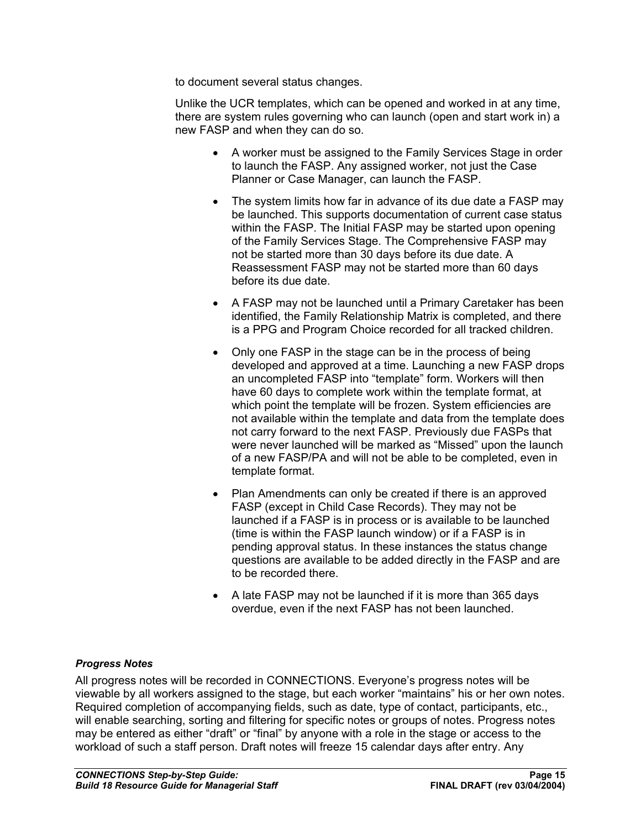to document several status changes.

Unlike the UCR templates, which can be opened and worked in at any time, there are system rules governing who can launch (open and start work in) a new FASP and when they can do so.

- A worker must be assigned to the Family Services Stage in order to launch the FASP. Any assigned worker, not just the Case Planner or Case Manager, can launch the FASP.
- The system limits how far in advance of its due date a FASP may be launched. This supports documentation of current case status within the FASP. The Initial FASP may be started upon opening of the Family Services Stage. The Comprehensive FASP may not be started more than 30 days before its due date. A Reassessment FASP may not be started more than 60 days before its due date.
- A FASP may not be launched until a Primary Caretaker has been identified, the Family Relationship Matrix is completed, and there is a PPG and Program Choice recorded for all tracked children.
- Only one FASP in the stage can be in the process of being developed and approved at a time. Launching a new FASP drops an uncompleted FASP into "template" form. Workers will then have 60 days to complete work within the template format, at which point the template will be frozen. System efficiencies are not available within the template and data from the template does not carry forward to the next FASP. Previously due FASPs that were never launched will be marked as "Missed" upon the launch of a new FASP/PA and will not be able to be completed, even in template format.
- Plan Amendments can only be created if there is an approved FASP (except in Child Case Records). They may not be launched if a FASP is in process or is available to be launched (time is within the FASP launch window) or if a FASP is in pending approval status. In these instances the status change questions are available to be added directly in the FASP and are to be recorded there.
- A late FASP may not be launched if it is more than 365 days overdue, even if the next FASP has not been launched.

#### *Progress Notes*

All progress notes will be recorded in CONNECTIONS. Everyone's progress notes will be viewable by all workers assigned to the stage, but each worker "maintains" his or her own notes. Required completion of accompanying fields, such as date, type of contact, participants, etc., will enable searching, sorting and filtering for specific notes or groups of notes. Progress notes may be entered as either "draft" or "final" by anyone with a role in the stage or access to the workload of such a staff person. Draft notes will freeze 15 calendar days after entry. Any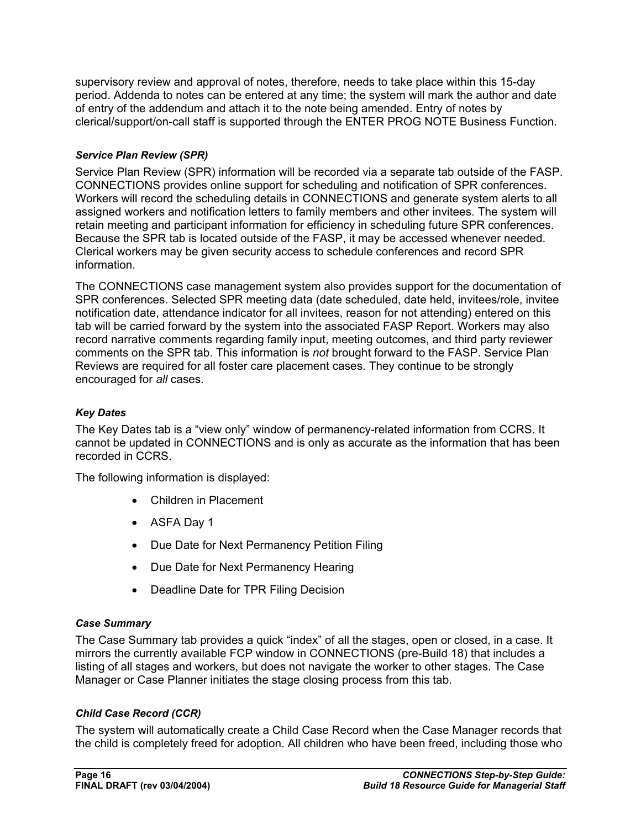supervisory review and approval of notes, therefore, needs to take place within this 15-day period. Addenda to notes can be entered at any time; the system will mark the author and date of entry of the addendum and attach it to the note being amended. Entry of notes by clerical/support/on-call staff is supported through the ENTER PROG NOTE Business Function.

#### *Service Plan Review (SPR)*

Service Plan Review (SPR) information will be recorded via a separate tab outside of the FASP. CONNECTIONS provides online support for scheduling and notification of SPR conferences. Workers will record the scheduling details in CONNECTIONS and generate system alerts to all assigned workers and notification letters to family members and other invitees. The system will retain meeting and participant information for efficiency in scheduling future SPR conferences. Because the SPR tab is located outside of the FASP, it may be accessed whenever needed. Clerical workers may be given security access to schedule conferences and record SPR information.

The CONNECTIONS case management system also provides support for the documentation of SPR conferences. Selected SPR meeting data (date scheduled, date held, invitees/role, invitee notification date, attendance indicator for all invitees, reason for not attending) entered on this tab will be carried forward by the system into the associated FASP Report. Workers may also record narrative comments regarding family input, meeting outcomes, and third party reviewer comments on the SPR tab. This information is *not* brought forward to the FASP. Service Plan Reviews are required for all foster care placement cases. They continue to be strongly encouraged for *all* cases.

#### *Key Dates*

The Key Dates tab is a "view only" window of permanency-related information from CCRS. It cannot be updated in CONNECTIONS and is only as accurate as the information that has been recorded in CCRS.

The following information is displayed:

- Children in Placement
- ASFA Day 1
- Due Date for Next Permanency Petition Filing
- Due Date for Next Permanency Hearing
- Deadline Date for TPR Filing Decision

#### *Case Summary*

The Case Summary tab provides a quick "index" of all the stages, open or closed, in a case. It mirrors the currently available FCP window in CONNECTIONS (pre-Build 18) that includes a listing of all stages and workers, but does not navigate the worker to other stages. The Case Manager or Case Planner initiates the stage closing process from this tab.

#### *Child Case Record (CCR)*

The system will automatically create a Child Case Record when the Case Manager records that the child is completely freed for adoption. All children who have been freed, including those who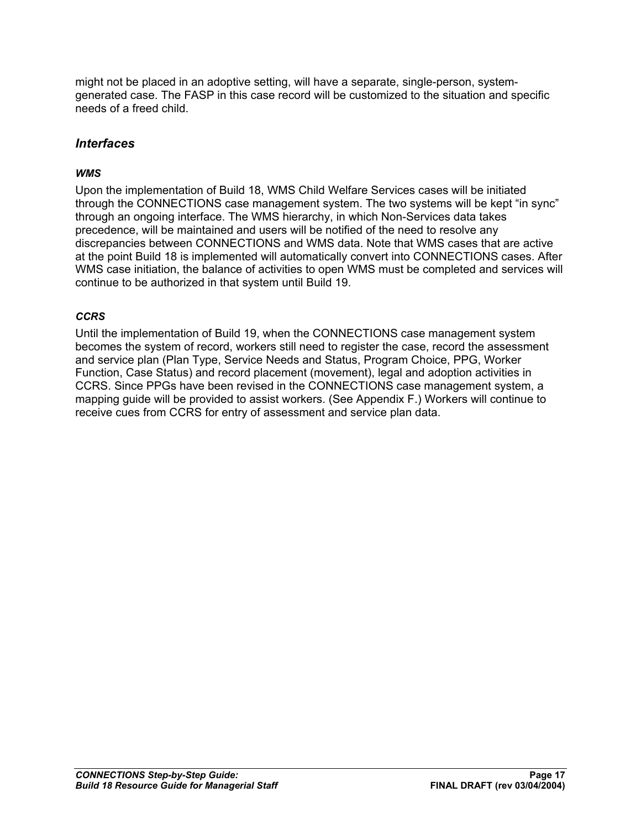might not be placed in an adoptive setting, will have a separate, single-person, systemgenerated case. The FASP in this case record will be customized to the situation and specific needs of a freed child.

#### *Interfaces*

#### *WMS*

Upon the implementation of Build 18, WMS Child Welfare Services cases will be initiated through the CONNECTIONS case management system. The two systems will be kept "in sync" through an ongoing interface. The WMS hierarchy, in which Non-Services data takes precedence, will be maintained and users will be notified of the need to resolve any discrepancies between CONNECTIONS and WMS data. Note that WMS cases that are active at the point Build 18 is implemented will automatically convert into CONNECTIONS cases. After WMS case initiation, the balance of activities to open WMS must be completed and services will continue to be authorized in that system until Build 19.

#### *CCRS*

Until the implementation of Build 19, when the CONNECTIONS case management system becomes the system of record, workers still need to register the case, record the assessment and service plan (Plan Type, Service Needs and Status, Program Choice, PPG, Worker Function, Case Status) and record placement (movement), legal and adoption activities in CCRS. Since PPGs have been revised in the CONNECTIONS case management system, a mapping guide will be provided to assist workers. (See Appendix F.) Workers will continue to receive cues from CCRS for entry of assessment and service plan data.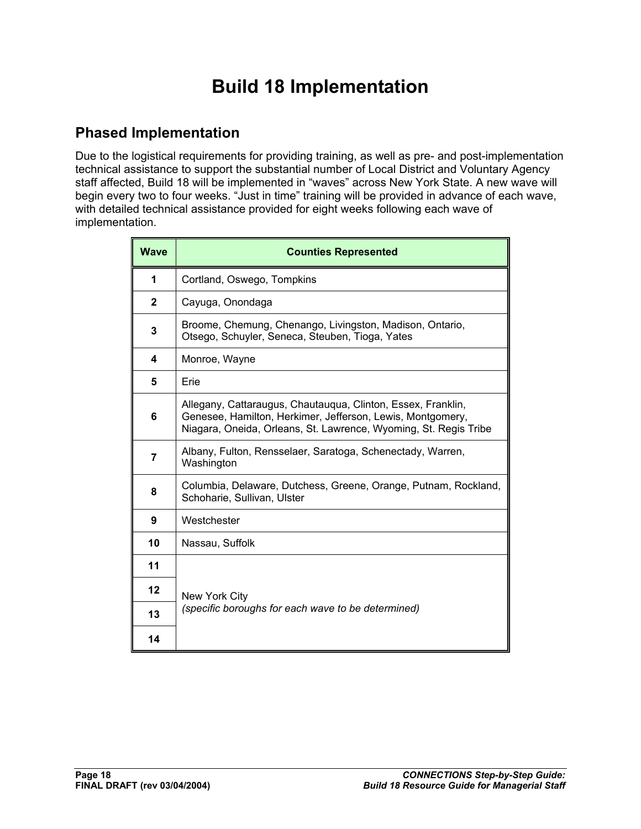# **Build 18 Implementation**

## **Phased Implementation**

Due to the logistical requirements for providing training, as well as pre- and post-implementation technical assistance to support the substantial number of Local District and Voluntary Agency staff affected, Build 18 will be implemented in "waves" across New York State. A new wave will begin every two to four weeks. "Just in time" training will be provided in advance of each wave, with detailed technical assistance provided for eight weeks following each wave of implementation.

| <b>Wave</b>  | <b>Counties Represented</b>                                                                                                                                                                    |  |
|--------------|------------------------------------------------------------------------------------------------------------------------------------------------------------------------------------------------|--|
| 1            | Cortland, Oswego, Tompkins                                                                                                                                                                     |  |
| $\mathbf{2}$ | Cayuga, Onondaga                                                                                                                                                                               |  |
| 3            | Broome, Chemung, Chenango, Livingston, Madison, Ontario,<br>Otsego, Schuyler, Seneca, Steuben, Tioga, Yates                                                                                    |  |
| 4            | Monroe, Wayne                                                                                                                                                                                  |  |
| 5            | Erie                                                                                                                                                                                           |  |
| 6            | Allegany, Cattaraugus, Chautaugua, Clinton, Essex, Franklin,<br>Genesee, Hamilton, Herkimer, Jefferson, Lewis, Montgomery,<br>Niagara, Oneida, Orleans, St. Lawrence, Wyoming, St. Regis Tribe |  |
| 7            | Albany, Fulton, Rensselaer, Saratoga, Schenectady, Warren,<br>Washington                                                                                                                       |  |
| 8            | Columbia, Delaware, Dutchess, Greene, Orange, Putnam, Rockland,<br>Schoharie, Sullivan, Ulster                                                                                                 |  |
| 9            | Westchester                                                                                                                                                                                    |  |
| 10           | Nassau, Suffolk                                                                                                                                                                                |  |
| 11           |                                                                                                                                                                                                |  |
| 12           | New York City                                                                                                                                                                                  |  |
| 13           | (specific boroughs for each wave to be determined)                                                                                                                                             |  |
| 14           |                                                                                                                                                                                                |  |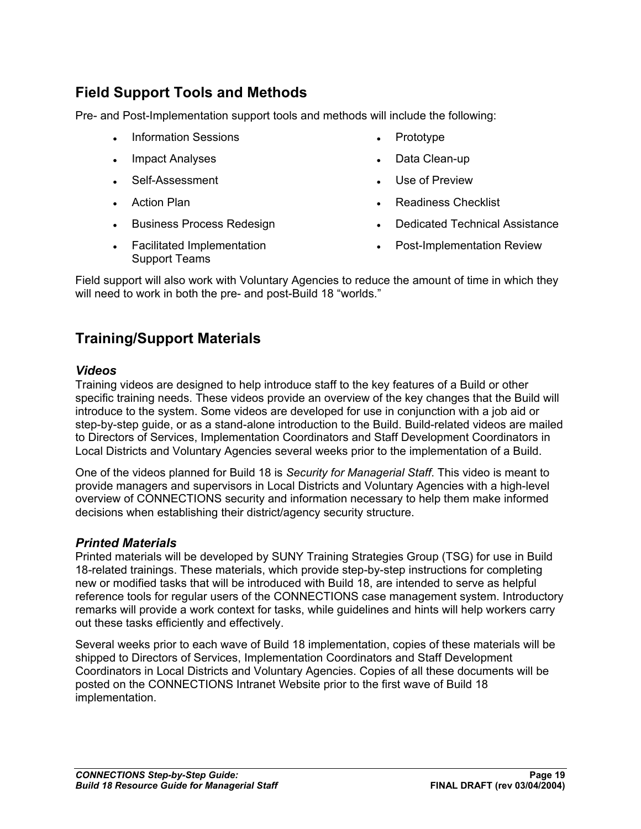## **Field Support Tools and Methods**

Pre- and Post-Implementation support tools and methods will include the following:

- Information Sessions
- Impact Analyses
- Self-Assessment
- Action Plan
- Business Process Redesign
- Facilitated Implementation Support Teams
- Prototype
- Data Clean-up
- Use of Preview
- Readiness Checklist
- Dedicated Technical Assistance
- Post-Implementation Review

Field support will also work with Voluntary Agencies to reduce the amount of time in which they will need to work in both the pre- and post-Build 18 "worlds."

# **Training/Support Materials**

#### *Videos*

Training videos are designed to help introduce staff to the key features of a Build or other specific training needs. These videos provide an overview of the key changes that the Build will introduce to the system. Some videos are developed for use in conjunction with a job aid or step-by-step guide, or as a stand-alone introduction to the Build. Build-related videos are mailed to Directors of Services, Implementation Coordinators and Staff Development Coordinators in Local Districts and Voluntary Agencies several weeks prior to the implementation of a Build.

One of the videos planned for Build 18 is *Security for Managerial Staff*. This video is meant to provide managers and supervisors in Local Districts and Voluntary Agencies with a high-level overview of CONNECTIONS security and information necessary to help them make informed decisions when establishing their district/agency security structure.

#### *Printed Materials*

Printed materials will be developed by SUNY Training Strategies Group (TSG) for use in Build 18-related trainings. These materials, which provide step-by-step instructions for completing new or modified tasks that will be introduced with Build 18, are intended to serve as helpful reference tools for regular users of the CONNECTIONS case management system. Introductory remarks will provide a work context for tasks, while guidelines and hints will help workers carry out these tasks efficiently and effectively.

Several weeks prior to each wave of Build 18 implementation, copies of these materials will be shipped to Directors of Services, Implementation Coordinators and Staff Development Coordinators in Local Districts and Voluntary Agencies. Copies of all these documents will be posted on the CONNECTIONS Intranet Website prior to the first wave of Build 18 implementation.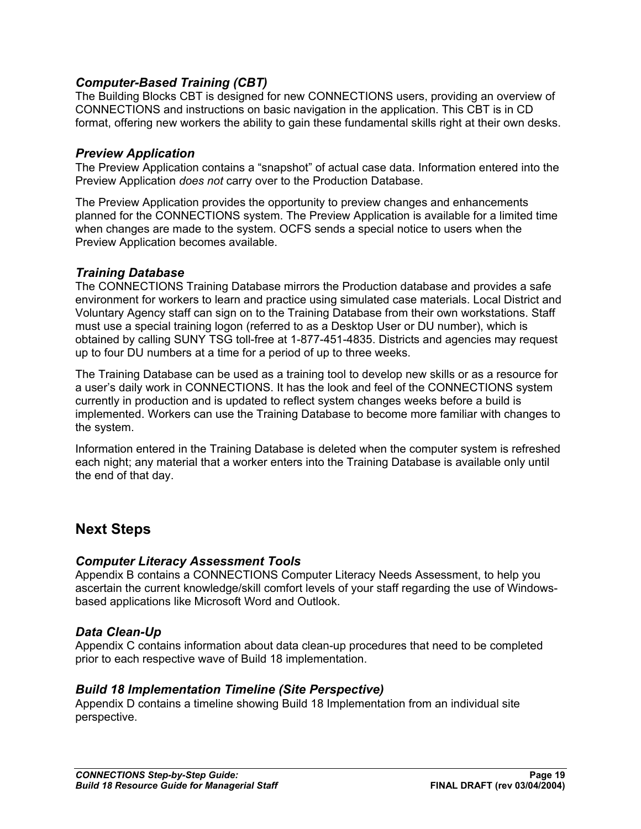#### *Computer-Based Training (CBT)*

The Building Blocks CBT is designed for new CONNECTIONS users, providing an overview of CONNECTIONS and instructions on basic navigation in the application. This CBT is in CD format, offering new workers the ability to gain these fundamental skills right at their own desks.

#### *Preview Application*

The Preview Application contains a "snapshot" of actual case data. Information entered into the Preview Application *does not* carry over to the Production Database.

The Preview Application provides the opportunity to preview changes and enhancements planned for the CONNECTIONS system. The Preview Application is available for a limited time when changes are made to the system. OCFS sends a special notice to users when the Preview Application becomes available.

#### *Training Database*

The CONNECTIONS Training Database mirrors the Production database and provides a safe environment for workers to learn and practice using simulated case materials. Local District and Voluntary Agency staff can sign on to the Training Database from their own workstations. Staff must use a special training logon (referred to as a Desktop User or DU number), which is obtained by calling SUNY TSG toll-free at 1-877-451-4835. Districts and agencies may request up to four DU numbers at a time for a period of up to three weeks.

The Training Database can be used as a training tool to develop new skills or as a resource for a user's daily work in CONNECTIONS. It has the look and feel of the CONNECTIONS system currently in production and is updated to reflect system changes weeks before a build is implemented. Workers can use the Training Database to become more familiar with changes to the system.

Information entered in the Training Database is deleted when the computer system is refreshed each night; any material that a worker enters into the Training Database is available only until the end of that day.

#### **Next Steps**

#### *Computer Literacy Assessment Tools*

Appendix B contains a CONNECTIONS Computer Literacy Needs Assessment, to help you ascertain the current knowledge/skill comfort levels of your staff regarding the use of Windowsbased applications like Microsoft Word and Outlook.

#### *Data Clean-Up*

Appendix C contains information about data clean-up procedures that need to be completed prior to each respective wave of Build 18 implementation.

#### *Build 18 Implementation Timeline (Site Perspective)*

Appendix D contains a timeline showing Build 18 Implementation from an individual site perspective.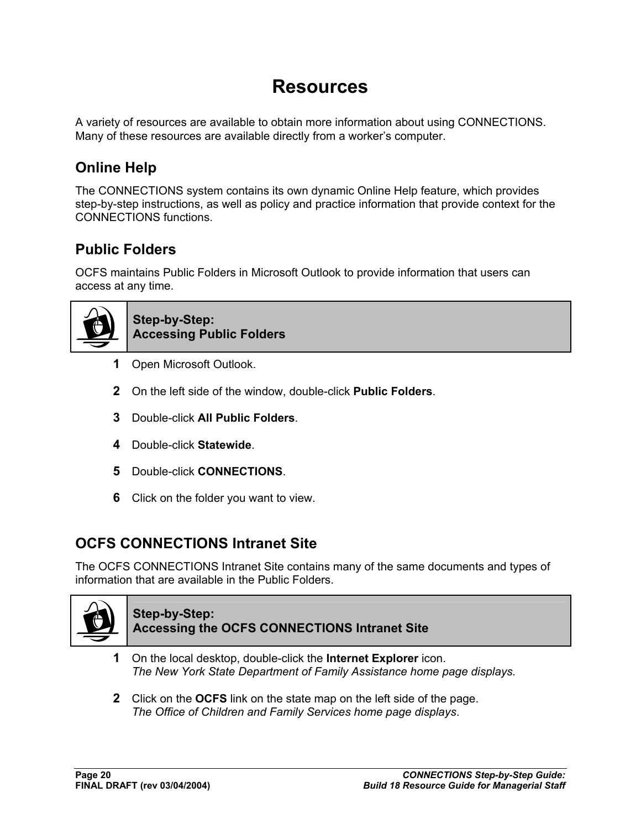# **Resources**

A variety of resources are available to obtain more information about using CONNECTIONS. Many of these resources are available directly from a worker's computer.

# **Online Help**

The CONNECTIONS system contains its own dynamic Online Help feature, which provides step-by-step instructions, as well as policy and practice information that provide context for the CONNECTIONS functions.

# **Public Folders**

OCFS maintains Public Folders in Microsoft Outlook to provide information that users can access at any time.



**Step-by-Step: Accessing Public Folders**

- **1** Open Microsoft Outlook.
- **2** On the left side of the window, double-click **Public Folders**.
- **3** Double-click **All Public Folders**.
- **4** Double-click **Statewide**.
- **5** Double-click **CONNECTIONS**.
- **6** Click on the folder you want to view.

# **OCFS CONNECTIONS Intranet Site**

The OCFS CONNECTIONS Intranet Site contains many of the same documents and types of information that are available in the Public Folders.



#### **Step-by-Step: Accessing the OCFS CONNECTIONS Intranet Site**

- **1** On the local desktop, double-click the **Internet Explorer** icon. *The New York State Department of Family Assistance home page displays.*
- **2** Click on the **OCFS** link on the state map on the left side of the page. *The Office of Children and Family Services home page displays*.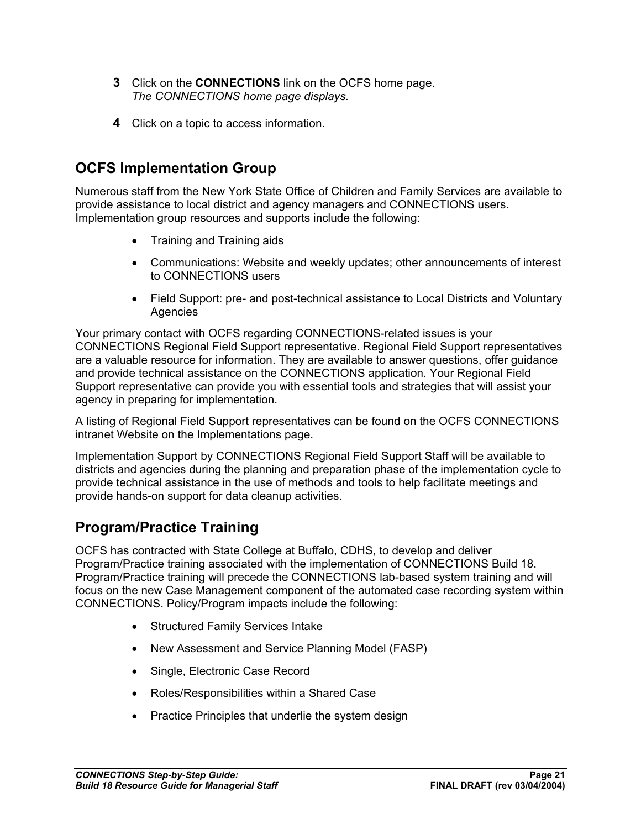- **3** Click on the **CONNECTIONS** link on the OCFS home page. *The CONNECTIONS home page displays.*
- **4** Click on a topic to access information.

# **OCFS Implementation Group**

Numerous staff from the New York State Office of Children and Family Services are available to provide assistance to local district and agency managers and CONNECTIONS users. Implementation group resources and supports include the following:

- Training and Training aids
- Communications: Website and weekly updates; other announcements of interest to CONNECTIONS users
- Field Support: pre- and post-technical assistance to Local Districts and Voluntary Agencies

Your primary contact with OCFS regarding CONNECTIONS-related issues is your CONNECTIONS Regional Field Support representative. Regional Field Support representatives are a valuable resource for information. They are available to answer questions, offer guidance and provide technical assistance on the CONNECTIONS application. Your Regional Field Support representative can provide you with essential tools and strategies that will assist your agency in preparing for implementation.

A listing of Regional Field Support representatives can be found on the OCFS CONNECTIONS intranet Website on the Implementations page.

Implementation Support by CONNECTIONS Regional Field Support Staff will be available to districts and agencies during the planning and preparation phase of the implementation cycle to provide technical assistance in the use of methods and tools to help facilitate meetings and provide hands-on support for data cleanup activities.

## **Program/Practice Training**

OCFS has contracted with State College at Buffalo, CDHS, to develop and deliver Program/Practice training associated with the implementation of CONNECTIONS Build 18. Program/Practice training will precede the CONNECTIONS lab-based system training and will focus on the new Case Management component of the automated case recording system within CONNECTIONS. Policy/Program impacts include the following:

- Structured Family Services Intake
- New Assessment and Service Planning Model (FASP)
- Single, Electronic Case Record
- Roles/Responsibilities within a Shared Case
- Practice Principles that underlie the system design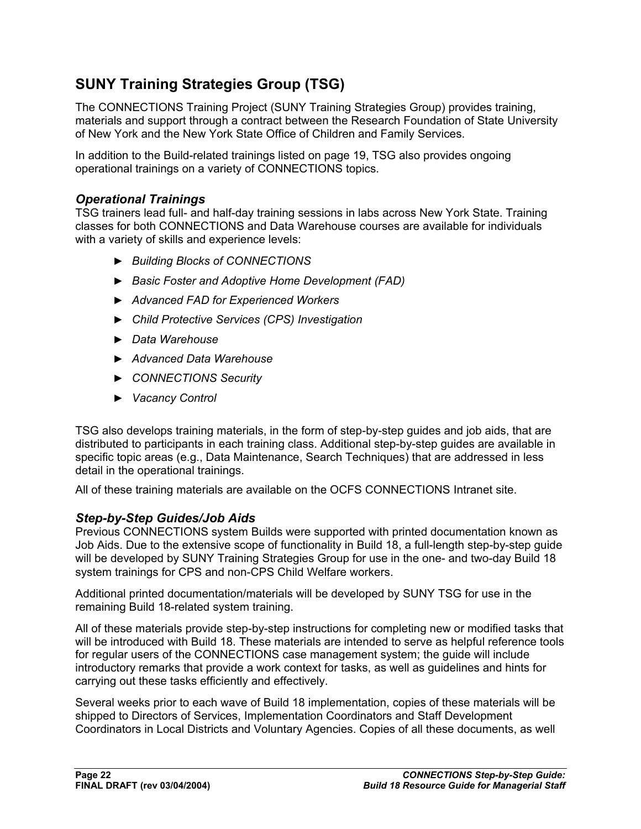# **SUNY Training Strategies Group (TSG)**

The CONNECTIONS Training Project (SUNY Training Strategies Group) provides training, materials and support through a contract between the Research Foundation of State University of New York and the New York State Office of Children and Family Services.

In addition to the Build-related trainings listed on page 19, TSG also provides ongoing operational trainings on a variety of CONNECTIONS topics.

#### *Operational Trainings*

TSG trainers lead full- and half-day training sessions in labs across New York State. Training classes for both CONNECTIONS and Data Warehouse courses are available for individuals with a variety of skills and experience levels:

- ► *Building Blocks of CONNECTIONS*
- ► *Basic Foster and Adoptive Home Development (FAD)*
- ► *Advanced FAD for Experienced Workers*
- ► *Child Protective Services (CPS) Investigation*
- ► *Data Warehouse*
- ► *Advanced Data Warehouse*
- ► *CONNECTIONS Security*
- ► *Vacancy Control*

TSG also develops training materials, in the form of step-by-step guides and job aids, that are distributed to participants in each training class. Additional step-by-step guides are available in specific topic areas (e.g., Data Maintenance, Search Techniques) that are addressed in less detail in the operational trainings.

All of these training materials are available on the OCFS CONNECTIONS Intranet site.

#### *Step-by-Step Guides/Job Aids*

Previous CONNECTIONS system Builds were supported with printed documentation known as Job Aids. Due to the extensive scope of functionality in Build 18, a full-length step-by-step guide will be developed by SUNY Training Strategies Group for use in the one- and two-day Build 18 system trainings for CPS and non-CPS Child Welfare workers.

Additional printed documentation/materials will be developed by SUNY TSG for use in the remaining Build 18-related system training.

All of these materials provide step-by-step instructions for completing new or modified tasks that will be introduced with Build 18. These materials are intended to serve as helpful reference tools for regular users of the CONNECTIONS case management system; the guide will include introductory remarks that provide a work context for tasks, as well as guidelines and hints for carrying out these tasks efficiently and effectively.

Several weeks prior to each wave of Build 18 implementation, copies of these materials will be shipped to Directors of Services, Implementation Coordinators and Staff Development Coordinators in Local Districts and Voluntary Agencies. Copies of all these documents, as well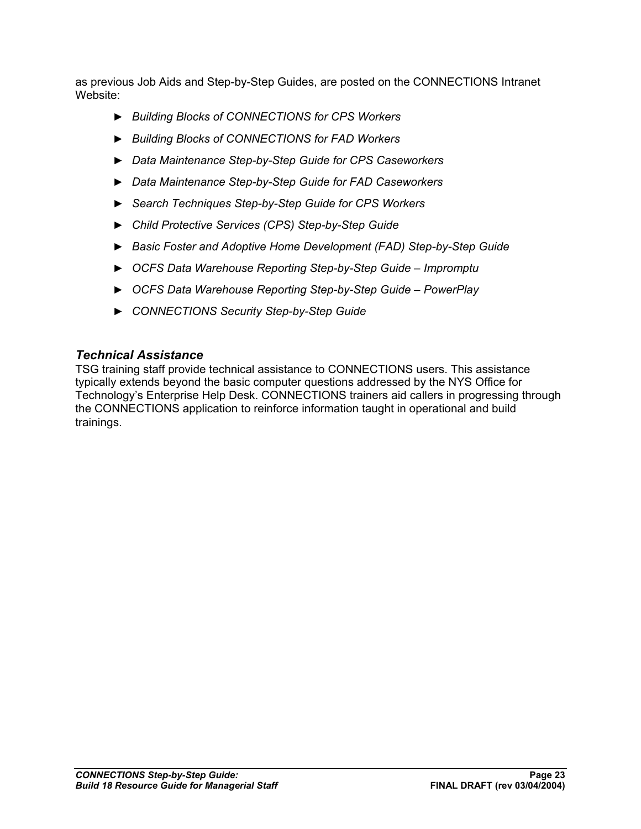as previous Job Aids and Step-by-Step Guides, are posted on the CONNECTIONS Intranet Website:

- ► *Building Blocks of CONNECTIONS for CPS Workers*
- ► *Building Blocks of CONNECTIONS for FAD Workers*
- ► *Data Maintenance Step-by-Step Guide for CPS Caseworkers*
- ► *Data Maintenance Step-by-Step Guide for FAD Caseworkers*
- ► *Search Techniques Step-by-Step Guide for CPS Workers*
- ► *Child Protective Services (CPS) Step-by-Step Guide*
- ► *Basic Foster and Adoptive Home Development (FAD) Step-by-Step Guide*
- ► *OCFS Data Warehouse Reporting Step-by-Step Guide Impromptu*
- ► *OCFS Data Warehouse Reporting Step-by-Step Guide PowerPlay*
- ► *CONNECTIONS Security Step-by-Step Guide*

#### *Technical Assistance*

TSG training staff provide technical assistance to CONNECTIONS users. This assistance typically extends beyond the basic computer questions addressed by the NYS Office for Technology's Enterprise Help Desk. CONNECTIONS trainers aid callers in progressing through the CONNECTIONS application to reinforce information taught in operational and build trainings.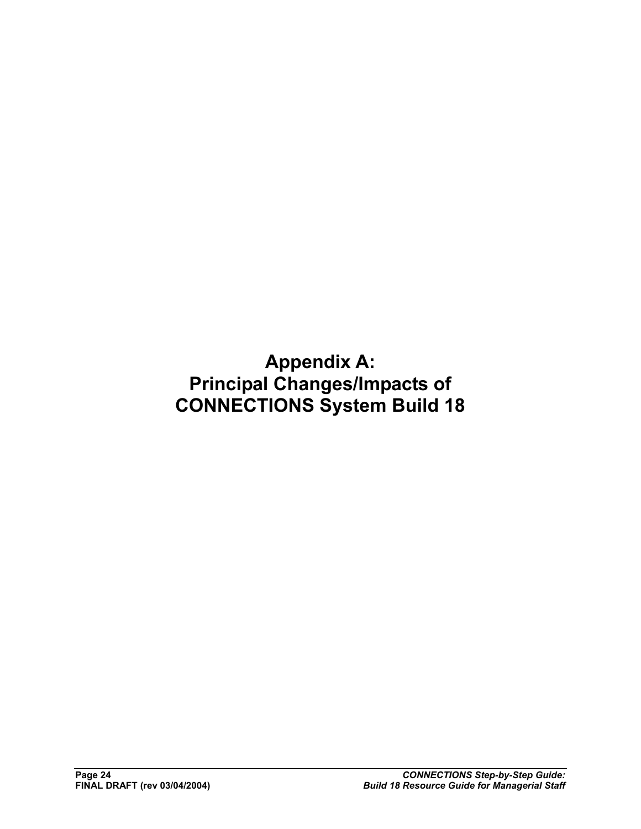**Appendix A: Principal Changes/Impacts of CONNECTIONS System Build 18**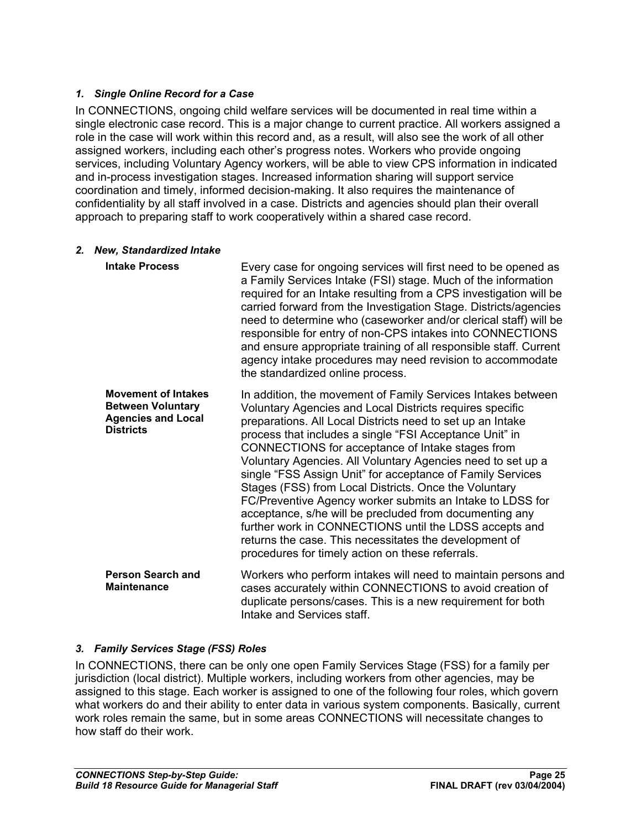#### *1. Single Online Record for a Case*

In CONNECTIONS, ongoing child welfare services will be documented in real time within a single electronic case record. This is a major change to current practice. All workers assigned a role in the case will work within this record and, as a result, will also see the work of all other assigned workers, including each other's progress notes. Workers who provide ongoing services, including Voluntary Agency workers, will be able to view CPS information in indicated and in-process investigation stages. Increased information sharing will support service coordination and timely, informed decision-making. It also requires the maintenance of confidentiality by all staff involved in a case. Districts and agencies should plan their overall approach to preparing staff to work cooperatively within a shared case record.

#### *2. New, Standardized Intake*

| <b>Intake Process</b>                                                                                   | Every case for ongoing services will first need to be opened as<br>a Family Services Intake (FSI) stage. Much of the information<br>required for an Intake resulting from a CPS investigation will be<br>carried forward from the Investigation Stage. Districts/agencies<br>need to determine who (caseworker and/or clerical staff) will be<br>responsible for entry of non-CPS intakes into CONNECTIONS<br>and ensure appropriate training of all responsible staff. Current<br>agency intake procedures may need revision to accommodate<br>the standardized online process.                                                                                                                                                                                                            |
|---------------------------------------------------------------------------------------------------------|---------------------------------------------------------------------------------------------------------------------------------------------------------------------------------------------------------------------------------------------------------------------------------------------------------------------------------------------------------------------------------------------------------------------------------------------------------------------------------------------------------------------------------------------------------------------------------------------------------------------------------------------------------------------------------------------------------------------------------------------------------------------------------------------|
| <b>Movement of Intakes</b><br><b>Between Voluntary</b><br><b>Agencies and Local</b><br><b>Districts</b> | In addition, the movement of Family Services Intakes between<br>Voluntary Agencies and Local Districts requires specific<br>preparations. All Local Districts need to set up an Intake<br>process that includes a single "FSI Acceptance Unit" in<br>CONNECTIONS for acceptance of Intake stages from<br>Voluntary Agencies. All Voluntary Agencies need to set up a<br>single "FSS Assign Unit" for acceptance of Family Services<br>Stages (FSS) from Local Districts. Once the Voluntary<br>FC/Preventive Agency worker submits an Intake to LDSS for<br>acceptance, s/he will be precluded from documenting any<br>further work in CONNECTIONS until the LDSS accepts and<br>returns the case. This necessitates the development of<br>procedures for timely action on these referrals. |
| <b>Person Search and</b><br><b>Maintenance</b>                                                          | Workers who perform intakes will need to maintain persons and<br>cases accurately within CONNECTIONS to avoid creation of<br>duplicate persons/cases. This is a new requirement for both<br>Intake and Services staff.                                                                                                                                                                                                                                                                                                                                                                                                                                                                                                                                                                      |

#### *3. Family Services Stage (FSS) Roles*

In CONNECTIONS, there can be only one open Family Services Stage (FSS) for a family per jurisdiction (local district). Multiple workers, including workers from other agencies, may be assigned to this stage. Each worker is assigned to one of the following four roles, which govern what workers do and their ability to enter data in various system components. Basically, current work roles remain the same, but in some areas CONNECTIONS will necessitate changes to how staff do their work.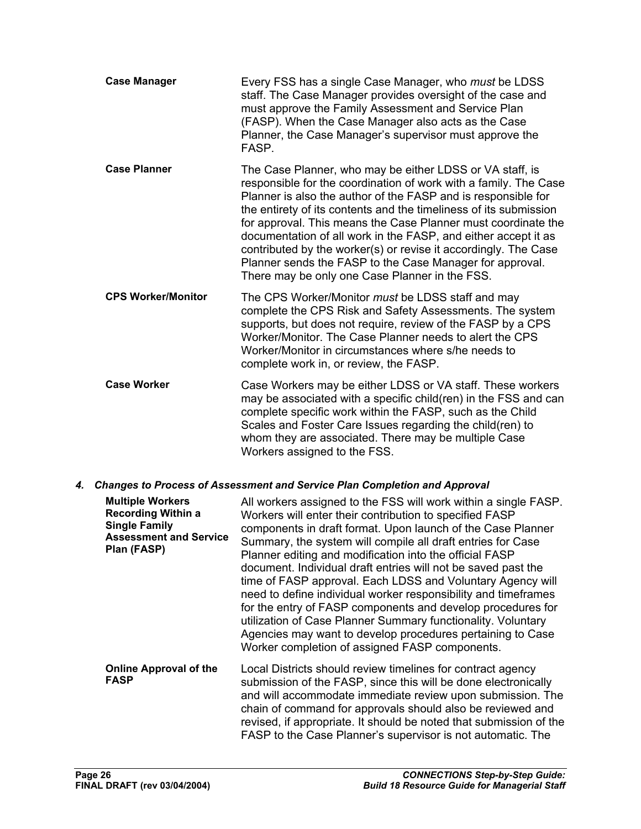| <b>Case Manager</b>       | Every FSS has a single Case Manager, who <i>must</i> be LDSS<br>staff. The Case Manager provides oversight of the case and<br>must approve the Family Assessment and Service Plan<br>(FASP). When the Case Manager also acts as the Case<br>Planner, the Case Manager's supervisor must approve the<br>FASP.                                                                                                                                                                                                                                                                           |
|---------------------------|----------------------------------------------------------------------------------------------------------------------------------------------------------------------------------------------------------------------------------------------------------------------------------------------------------------------------------------------------------------------------------------------------------------------------------------------------------------------------------------------------------------------------------------------------------------------------------------|
| <b>Case Planner</b>       | The Case Planner, who may be either LDSS or VA staff, is<br>responsible for the coordination of work with a family. The Case<br>Planner is also the author of the FASP and is responsible for<br>the entirety of its contents and the timeliness of its submission<br>for approval. This means the Case Planner must coordinate the<br>documentation of all work in the FASP, and either accept it as<br>contributed by the worker(s) or revise it accordingly. The Case<br>Planner sends the FASP to the Case Manager for approval.<br>There may be only one Case Planner in the FSS. |
| <b>CPS Worker/Monitor</b> | The CPS Worker/Monitor must be LDSS staff and may<br>complete the CPS Risk and Safety Assessments. The system<br>supports, but does not require, review of the FASP by a CPS<br>Worker/Monitor. The Case Planner needs to alert the CPS<br>Worker/Monitor in circumstances where s/he needs to<br>complete work in, or review, the FASP.                                                                                                                                                                                                                                               |
| <b>Case Worker</b>        | Case Workers may be either LDSS or VA staff. These workers<br>may be associated with a specific child(ren) in the FSS and can<br>complete specific work within the FASP, such as the Child<br>Scales and Foster Care Issues regarding the child(ren) to<br>whom they are associated. There may be multiple Case<br>Workers assigned to the FSS.                                                                                                                                                                                                                                        |

#### *4. Changes to Process of Assessment and Service Plan Completion and Approval*

| <b>Multiple Workers</b><br><b>Recording Within a</b><br><b>Single Family</b><br><b>Assessment and Service</b><br>Plan (FASP) | All workers assigned to the FSS will work within a single FASP.<br>Workers will enter their contribution to specified FASP<br>components in draft format. Upon launch of the Case Planner<br>Summary, the system will compile all draft entries for Case<br>Planner editing and modification into the official FASP<br>document. Individual draft entries will not be saved past the<br>time of FASP approval. Each LDSS and Voluntary Agency will<br>need to define individual worker responsibility and timeframes<br>for the entry of FASP components and develop procedures for<br>utilization of Case Planner Summary functionality. Voluntary<br>Agencies may want to develop procedures pertaining to Case<br>Worker completion of assigned FASP components. |
|------------------------------------------------------------------------------------------------------------------------------|---------------------------------------------------------------------------------------------------------------------------------------------------------------------------------------------------------------------------------------------------------------------------------------------------------------------------------------------------------------------------------------------------------------------------------------------------------------------------------------------------------------------------------------------------------------------------------------------------------------------------------------------------------------------------------------------------------------------------------------------------------------------|
| <b>Online Approval of the</b><br><b>FASP</b>                                                                                 | Local Districts should review timelines for contract agency<br>submission of the FASP, since this will be done electronically<br>and will accommodate immediate review upon submission. The<br>chain of command for approvals should also be reviewed and<br>revised, if appropriate. It should be noted that submission of the<br>FASP to the Case Planner's supervisor is not automatic. The                                                                                                                                                                                                                                                                                                                                                                      |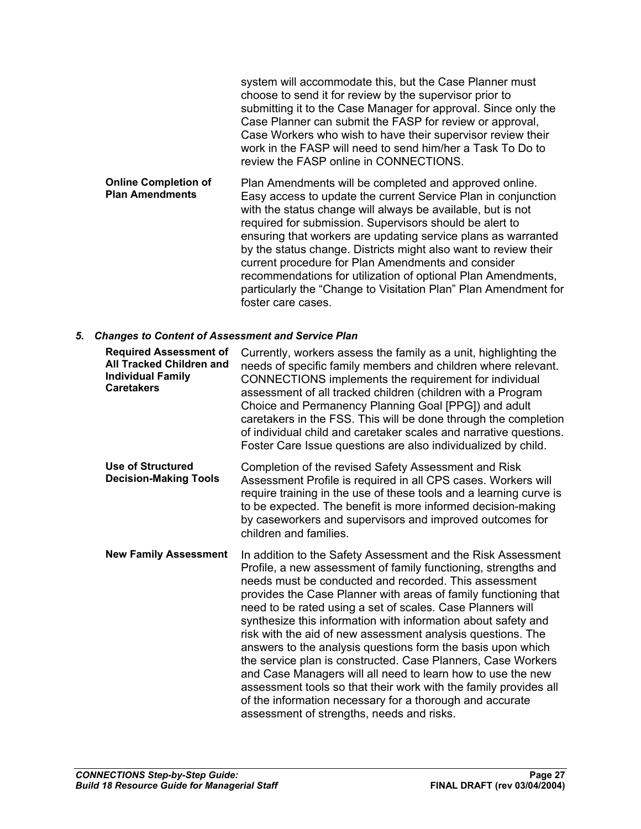|                                                       | system will accommodate this, but the Case Planner must<br>choose to send it for review by the supervisor prior to<br>submitting it to the Case Manager for approval. Since only the<br>Case Planner can submit the FASP for review or approval,<br>Case Workers who wish to have their supervisor review their<br>work in the FASP will need to send him/her a Task To Do to<br>review the FASP online in CONNECTIONS. |
|-------------------------------------------------------|-------------------------------------------------------------------------------------------------------------------------------------------------------------------------------------------------------------------------------------------------------------------------------------------------------------------------------------------------------------------------------------------------------------------------|
| <b>Online Completion of</b><br><b>Plan Amendments</b> | Plan Amendments will be completed and approved online.<br>Easy access to update the current Service Plan in conjunction<br>with the status change will always be available, but is not<br>required for submission. Supervisors should be alert to<br>ensuring that workers are updating service plans as warranted<br>by the status change. Districts might also want to review their                                   |

current procedure for Plan Amendments and consider recommendations for utilization of optional Plan Amendments, particularly the "Change to Visitation Plan" Plan Amendment for foster care cases.

#### *5. Changes to Content of Assessment and Service Plan*

| <b>Required Assessment of</b><br><b>All Tracked Children and</b><br><b>Individual Family</b><br><b>Caretakers</b> | Currently, workers assess the family as a unit, highlighting the<br>needs of specific family members and children where relevant.<br>CONNECTIONS implements the requirement for individual<br>assessment of all tracked children (children with a Program<br>Choice and Permanency Planning Goal [PPG]) and adult<br>caretakers in the FSS. This will be done through the completion<br>of individual child and caretaker scales and narrative questions.<br>Foster Care Issue questions are also individualized by child.                                                                                                                                                                                                                                                                                                          |
|-------------------------------------------------------------------------------------------------------------------|-------------------------------------------------------------------------------------------------------------------------------------------------------------------------------------------------------------------------------------------------------------------------------------------------------------------------------------------------------------------------------------------------------------------------------------------------------------------------------------------------------------------------------------------------------------------------------------------------------------------------------------------------------------------------------------------------------------------------------------------------------------------------------------------------------------------------------------|
| <b>Use of Structured</b><br><b>Decision-Making Tools</b>                                                          | Completion of the revised Safety Assessment and Risk<br>Assessment Profile is required in all CPS cases. Workers will<br>require training in the use of these tools and a learning curve is<br>to be expected. The benefit is more informed decision-making<br>by caseworkers and supervisors and improved outcomes for<br>children and families.                                                                                                                                                                                                                                                                                                                                                                                                                                                                                   |
| <b>New Family Assessment</b>                                                                                      | In addition to the Safety Assessment and the Risk Assessment<br>Profile, a new assessment of family functioning, strengths and<br>needs must be conducted and recorded. This assessment<br>provides the Case Planner with areas of family functioning that<br>need to be rated using a set of scales. Case Planners will<br>synthesize this information with information about safety and<br>risk with the aid of new assessment analysis questions. The<br>answers to the analysis questions form the basis upon which<br>the service plan is constructed. Case Planners, Case Workers<br>and Case Managers will all need to learn how to use the new<br>assessment tools so that their work with the family provides all<br>of the information necessary for a thorough and accurate<br>assessment of strengths, needs and risks. |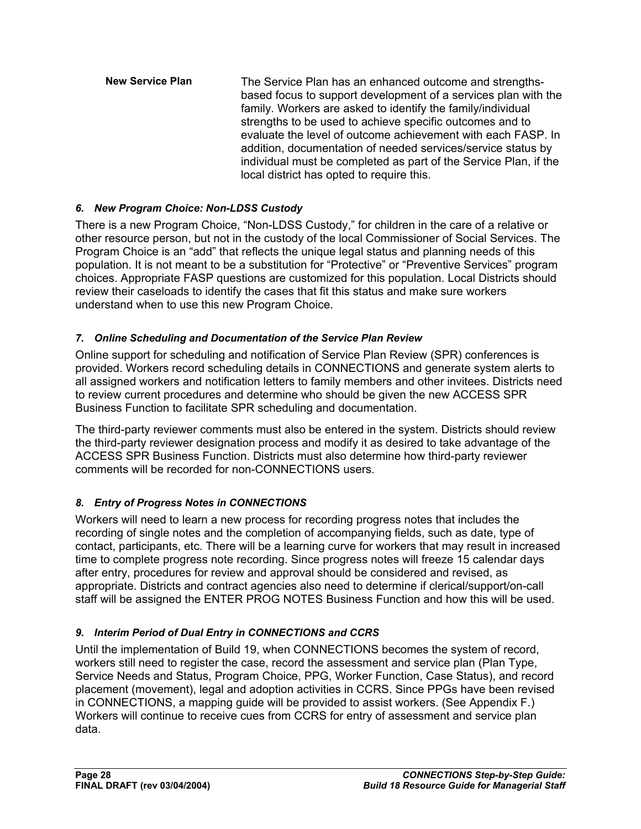**New Service Plan** The Service Plan has an enhanced outcome and strengthsbased focus to support development of a services plan with the family. Workers are asked to identify the family/individual strengths to be used to achieve specific outcomes and to evaluate the level of outcome achievement with each FASP. In addition, documentation of needed services/service status by individual must be completed as part of the Service Plan, if the local district has opted to require this.

#### *6. New Program Choice: Non-LDSS Custody*

There is a new Program Choice, "Non-LDSS Custody," for children in the care of a relative or other resource person, but not in the custody of the local Commissioner of Social Services. The Program Choice is an "add" that reflects the unique legal status and planning needs of this population. It is not meant to be a substitution for "Protective" or "Preventive Services" program choices. Appropriate FASP questions are customized for this population. Local Districts should review their caseloads to identify the cases that fit this status and make sure workers understand when to use this new Program Choice.

#### *7. Online Scheduling and Documentation of the Service Plan Review*

Online support for scheduling and notification of Service Plan Review (SPR) conferences is provided. Workers record scheduling details in CONNECTIONS and generate system alerts to all assigned workers and notification letters to family members and other invitees. Districts need to review current procedures and determine who should be given the new ACCESS SPR Business Function to facilitate SPR scheduling and documentation.

The third-party reviewer comments must also be entered in the system. Districts should review the third-party reviewer designation process and modify it as desired to take advantage of the ACCESS SPR Business Function. Districts must also determine how third-party reviewer comments will be recorded for non-CONNECTIONS users.

#### *8. Entry of Progress Notes in CONNECTIONS*

Workers will need to learn a new process for recording progress notes that includes the recording of single notes and the completion of accompanying fields, such as date, type of contact, participants, etc. There will be a learning curve for workers that may result in increased time to complete progress note recording. Since progress notes will freeze 15 calendar days after entry, procedures for review and approval should be considered and revised, as appropriate. Districts and contract agencies also need to determine if clerical/support/on-call staff will be assigned the ENTER PROG NOTES Business Function and how this will be used.

#### *9. Interim Period of Dual Entry in CONNECTIONS and CCRS*

Until the implementation of Build 19, when CONNECTIONS becomes the system of record, workers still need to register the case, record the assessment and service plan (Plan Type, Service Needs and Status, Program Choice, PPG, Worker Function, Case Status), and record placement (movement), legal and adoption activities in CCRS. Since PPGs have been revised in CONNECTIONS, a mapping guide will be provided to assist workers. (See Appendix F.) Workers will continue to receive cues from CCRS for entry of assessment and service plan data.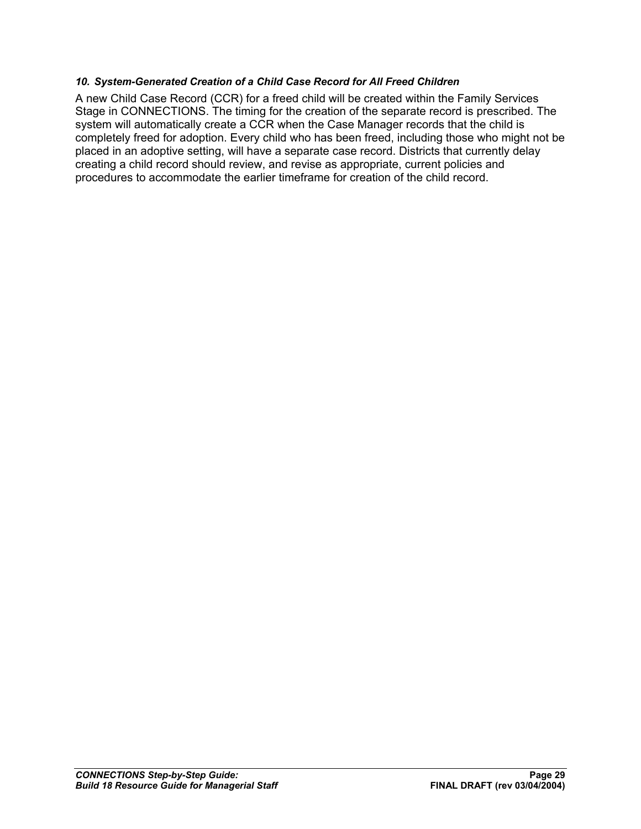#### *10. System-Generated Creation of a Child Case Record for All Freed Children*

A new Child Case Record (CCR) for a freed child will be created within the Family Services Stage in CONNECTIONS. The timing for the creation of the separate record is prescribed. The system will automatically create a CCR when the Case Manager records that the child is completely freed for adoption. Every child who has been freed, including those who might not be placed in an adoptive setting, will have a separate case record. Districts that currently delay creating a child record should review, and revise as appropriate, current policies and procedures to accommodate the earlier timeframe for creation of the child record.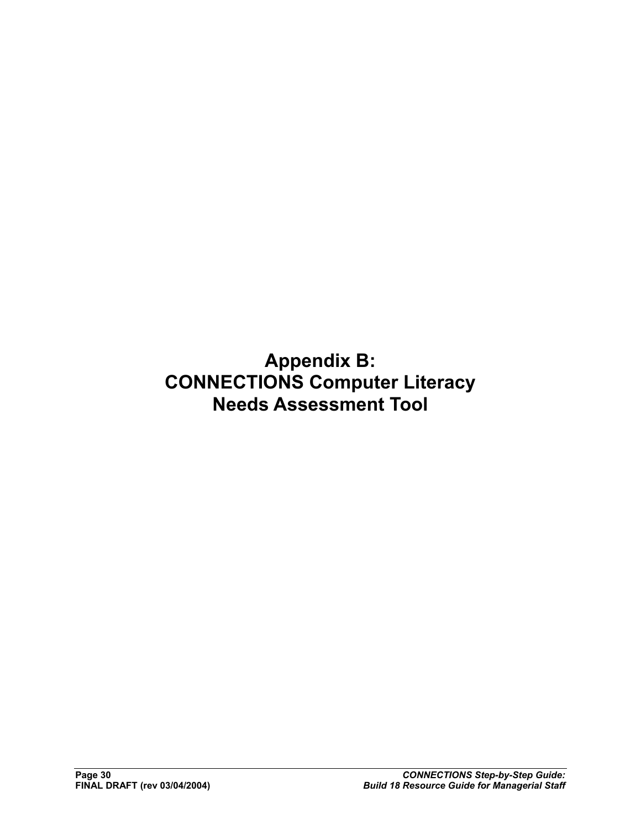**Appendix B: CONNECTIONS Computer Literacy Needs Assessment Tool**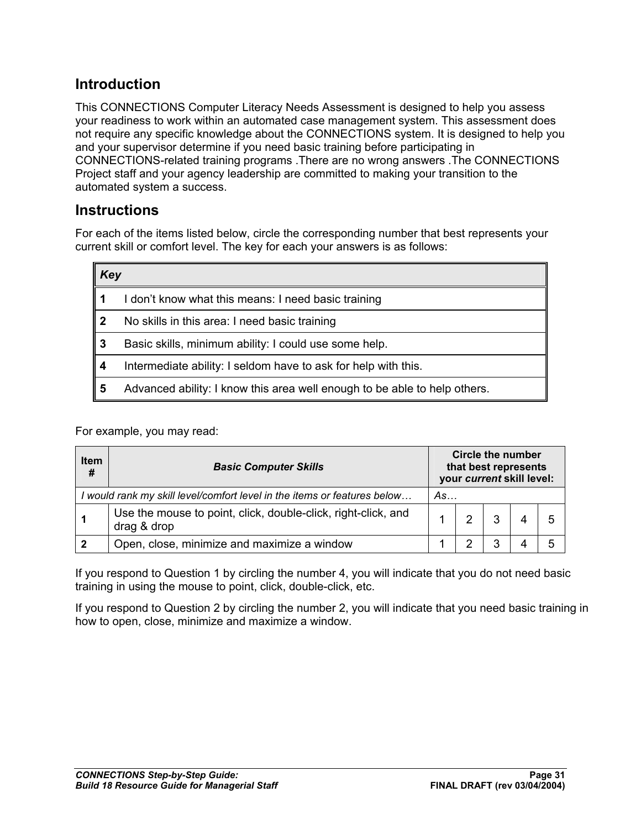## **Introduction**

This CONNECTIONS Computer Literacy Needs Assessment is designed to help you assess your readiness to work within an automated case management system. This assessment does not require any specific knowledge about the CONNECTIONS system. It is designed to help you and your supervisor determine if you need basic training before participating in CONNECTIONS-related training programs .There are no wrong answers .The CONNECTIONS Project staff and your agency leadership are committed to making your transition to the automated system a success.

#### **Instructions**

For each of the items listed below, circle the corresponding number that best represents your current skill or comfort level. The key for each your answers is as follows:

| Key |                                                                           |
|-----|---------------------------------------------------------------------------|
|     | I don't know what this means: I need basic training                       |
| 2   | No skills in this area: I need basic training                             |
| 3   | Basic skills, minimum ability: I could use some help.                     |
| 4   | Intermediate ability: I seldom have to ask for help with this.            |
| 5   | Advanced ability: I know this area well enough to be able to help others. |

For example, you may read:

| <b>Item</b><br># | <b>Basic Computer Skills</b>                                                 | Circle the number<br>that best represents<br>your current skill level: |   |   |  |  |
|------------------|------------------------------------------------------------------------------|------------------------------------------------------------------------|---|---|--|--|
|                  | I would rank my skill level/comfort level in the items or features below     |                                                                        |   |   |  |  |
|                  | Use the mouse to point, click, double-click, right-click, and<br>drag & drop |                                                                        |   | 3 |  |  |
|                  | Open, close, minimize and maximize a window                                  |                                                                        | າ | 3 |  |  |

If you respond to Question 1 by circling the number 4, you will indicate that you do not need basic training in using the mouse to point, click, double-click, etc.

If you respond to Question 2 by circling the number 2, you will indicate that you need basic training in how to open, close, minimize and maximize a window.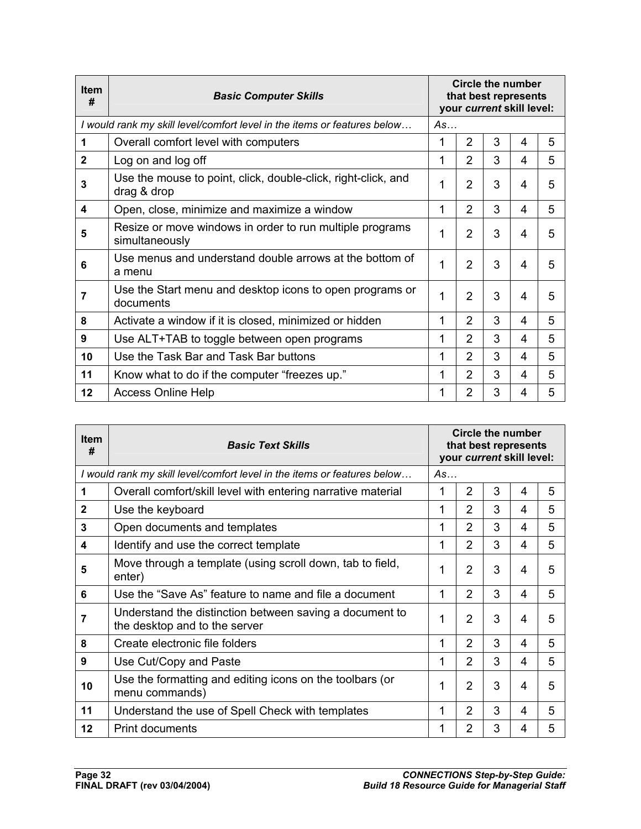| <b>Item</b><br>#        | <b>Basic Computer Skills</b>                                                 | Circle the number<br>that best represents<br>your current skill level: |                |   |   |   |
|-------------------------|------------------------------------------------------------------------------|------------------------------------------------------------------------|----------------|---|---|---|
|                         | I would rank my skill level/comfort level in the items or features below     | As                                                                     |                |   |   |   |
| 1                       | Overall comfort level with computers                                         |                                                                        | $\overline{2}$ | 3 | 4 | 5 |
| $\mathbf{2}$            | Log on and log off                                                           | 1                                                                      | $\mathcal{P}$  | 3 | 4 | 5 |
| 3                       | Use the mouse to point, click, double-click, right-click, and<br>drag & drop | 1                                                                      | $\overline{2}$ | 3 | 4 | 5 |
| $\overline{\mathbf{4}}$ | Open, close, minimize and maximize a window                                  | 1                                                                      | $\overline{2}$ | 3 | 4 | 5 |
| 5                       | Resize or move windows in order to run multiple programs<br>simultaneously   | 1                                                                      | $\overline{2}$ | 3 | 4 | 5 |
| 6                       | Use menus and understand double arrows at the bottom of<br>a menu            | 1                                                                      | $\overline{2}$ | 3 | 4 | 5 |
| $\overline{7}$          | Use the Start menu and desktop icons to open programs or<br>documents        | 1                                                                      | $\mathcal{P}$  | 3 | 4 | 5 |
| 8                       | Activate a window if it is closed, minimized or hidden                       | 1                                                                      | $\overline{2}$ | 3 | 4 | 5 |
| 9                       | Use ALT+TAB to toggle between open programs                                  | 1                                                                      | $\overline{2}$ | 3 | 4 | 5 |
| 10                      | Use the Task Bar and Task Bar buttons                                        | 1                                                                      | $\overline{2}$ | 3 | 4 | 5 |
| 11                      | Know what to do if the computer "freezes up."                                | 1                                                                      | $\overline{2}$ | 3 | 4 | 5 |
| 12                      | <b>Access Online Help</b>                                                    | 1                                                                      | $\overline{2}$ | 3 | 4 | 5 |

| <b>Item</b><br># | <b>Basic Text Skills</b>                                                                 | Circle the number<br>that best represents<br>your current skill level: |                |   |   |   |
|------------------|------------------------------------------------------------------------------------------|------------------------------------------------------------------------|----------------|---|---|---|
|                  | I would rank my skill level/comfort level in the items or features below                 | As                                                                     |                |   |   |   |
| 1                | Overall comfort/skill level with entering narrative material                             | 1                                                                      | $\overline{2}$ | 3 | 4 | 5 |
| $\mathbf{2}$     | Use the keyboard                                                                         | 1                                                                      | $\overline{2}$ | 3 | 4 | 5 |
| 3                | Open documents and templates                                                             | 1                                                                      | 2              | 3 | 4 | 5 |
| 4                | Identify and use the correct template                                                    | 1                                                                      | $\overline{2}$ | 3 | 4 | 5 |
| 5                | Move through a template (using scroll down, tab to field,<br>enter)                      | 1                                                                      | $\overline{2}$ | 3 | 4 | 5 |
| 6                | Use the "Save As" feature to name and file a document                                    | 1                                                                      | $\mathcal{P}$  | 3 | 4 | 5 |
| 7                | Understand the distinction between saving a document to<br>the desktop and to the server | 1                                                                      | 2              | 3 | 4 | 5 |
| 8                | Create electronic file folders                                                           | 1                                                                      | $\overline{2}$ | 3 | 4 | 5 |
| 9                | Use Cut/Copy and Paste                                                                   | 1                                                                      | $\mathcal{P}$  | 3 | 4 | 5 |
| 10               | Use the formatting and editing icons on the toolbars (or<br>menu commands)               | 1                                                                      | $\overline{2}$ | 3 | 4 | 5 |
| 11               | Understand the use of Spell Check with templates                                         | 1                                                                      | $\overline{2}$ | 3 | 4 | 5 |
| $12 \,$          | <b>Print documents</b>                                                                   | 1                                                                      | 2              | 3 | 4 | 5 |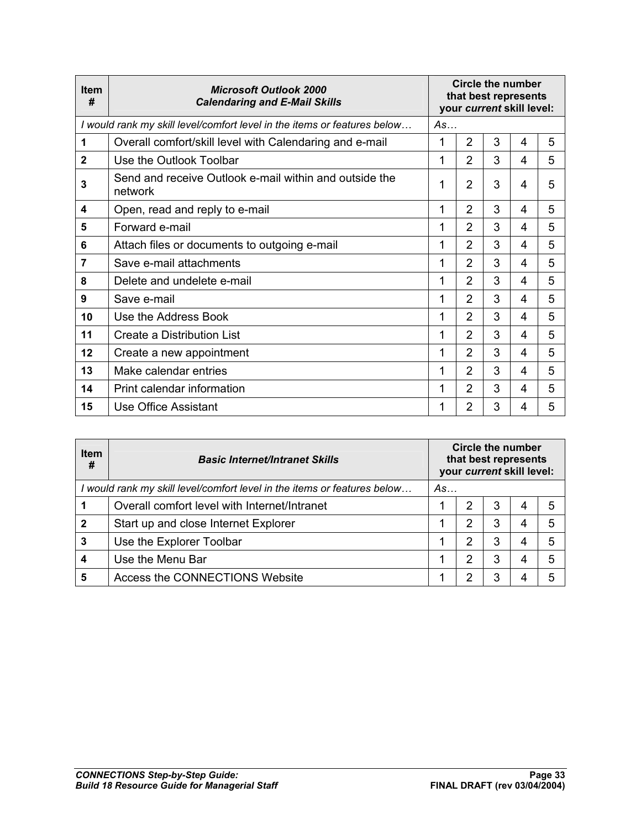| <b>Item</b><br># | <b>Microsoft Outlook 2000</b><br><b>Calendaring and E-Mail Skills</b>    | Circle the number<br>that best represents<br>your current skill level: |                |   |   |   |
|------------------|--------------------------------------------------------------------------|------------------------------------------------------------------------|----------------|---|---|---|
|                  | I would rank my skill level/comfort level in the items or features below | As                                                                     |                |   |   |   |
| 1                | Overall comfort/skill level with Calendaring and e-mail                  | 1                                                                      | $\overline{2}$ | 3 | 4 | 5 |
| $\mathbf{2}$     | Use the Outlook Toolbar                                                  | 1                                                                      | $\overline{2}$ | 3 | 4 | 5 |
| 3                | Send and receive Outlook e-mail within and outside the<br>network        | 1                                                                      | $\overline{2}$ | 3 | 4 | 5 |
| 4                | Open, read and reply to e-mail                                           | 1                                                                      | $\overline{2}$ | 3 | 4 | 5 |
| 5                | Forward e-mail                                                           | 1                                                                      | $\overline{2}$ | 3 | 4 | 5 |
| 6                | Attach files or documents to outgoing e-mail                             | 1                                                                      | $\overline{2}$ | 3 | 4 | 5 |
| 7                | Save e-mail attachments                                                  | 1                                                                      | $\overline{2}$ | 3 | 4 | 5 |
| 8                | Delete and undelete e-mail                                               | 1                                                                      | $\overline{2}$ | 3 | 4 | 5 |
| 9                | Save e-mail                                                              | 1                                                                      | $\overline{2}$ | 3 | 4 | 5 |
| 10               | Use the Address Book                                                     | 1                                                                      | $\overline{2}$ | 3 | 4 | 5 |
| 11               | Create a Distribution List                                               | 1                                                                      | $\overline{2}$ | 3 | 4 | 5 |
| 12               | Create a new appointment                                                 | 1                                                                      | $\overline{2}$ | 3 | 4 | 5 |
| 13               | Make calendar entries                                                    | 1                                                                      | $\overline{2}$ | 3 | 4 | 5 |
| 14               | Print calendar information                                               | 1                                                                      | $\overline{2}$ | 3 | 4 | 5 |
| 15               | Use Office Assistant                                                     | 1                                                                      | $\overline{2}$ | 3 | 4 | 5 |

| Item<br>#        | <b>Basic Internet/Intranet Skills</b>                                  | Circle the number<br>that best represents<br>your current skill level: |   |   |   |   |
|------------------|------------------------------------------------------------------------|------------------------------------------------------------------------|---|---|---|---|
|                  | would rank my skill level/comfort level in the items or features below | As                                                                     |   |   |   |   |
|                  | Overall comfort level with Internet/Intranet                           |                                                                        | 2 | 3 | 4 | 5 |
| $\mathbf{2}$     | Start up and close Internet Explorer                                   |                                                                        | 2 | 3 | 4 | 5 |
| 3                | Use the Explorer Toolbar                                               |                                                                        | 2 | 3 | 4 | 5 |
| $\boldsymbol{4}$ | Use the Menu Bar                                                       |                                                                        | 2 | 3 | 4 | 5 |
| 5                | Access the CONNECTIONS Website                                         |                                                                        | 2 | 3 |   | 5 |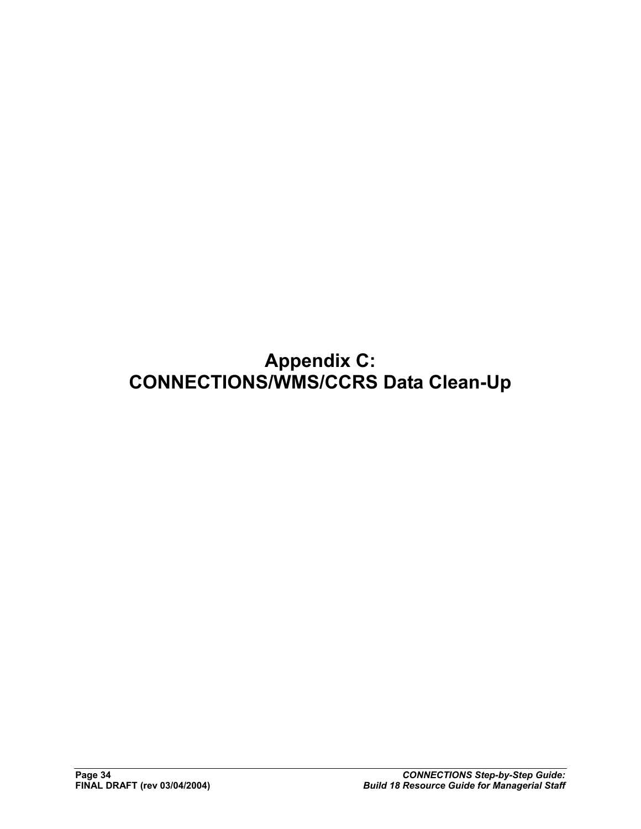# **Appendix C: CONNECTIONS/WMS/CCRS Data Clean-Up**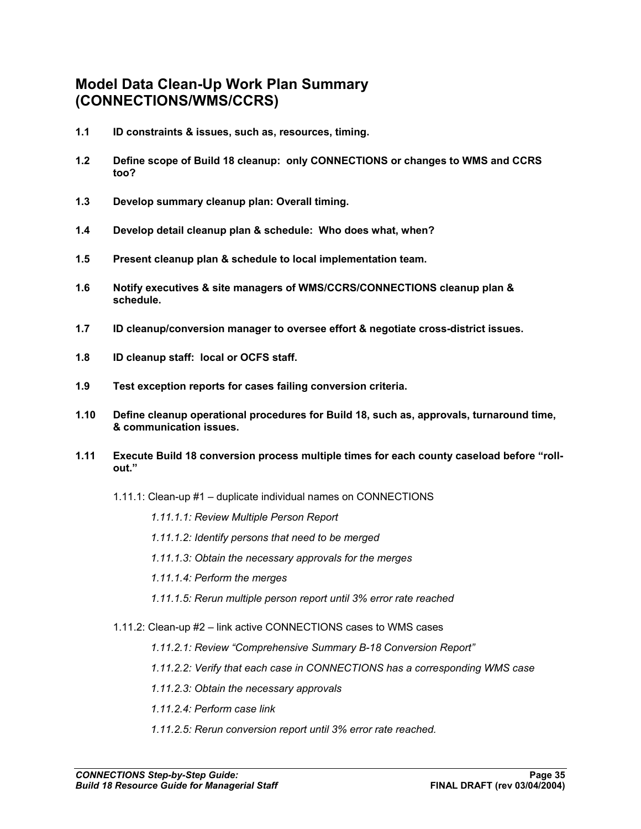## **Model Data Clean-Up Work Plan Summary (CONNECTIONS/WMS/CCRS)**

- **1.1 ID constraints & issues, such as, resources, timing.**
- **1.2 Define scope of Build 18 cleanup: only CONNECTIONS or changes to WMS and CCRS too?**
- **1.3 Develop summary cleanup plan: Overall timing.**
- **1.4 Develop detail cleanup plan & schedule: Who does what, when?**
- **1.5 Present cleanup plan & schedule to local implementation team.**
- **1.6 Notify executives & site managers of WMS/CCRS/CONNECTIONS cleanup plan & schedule.**
- **1.7 ID cleanup/conversion manager to oversee effort & negotiate cross-district issues.**
- **1.8 ID cleanup staff: local or OCFS staff.**
- **1.9 Test exception reports for cases failing conversion criteria.**
- **1.10 Define cleanup operational procedures for Build 18, such as, approvals, turnaround time, & communication issues.**
- **1.11 Execute Build 18 conversion process multiple times for each county caseload before "rollout."** 
	- 1.11.1: Clean-up #1 duplicate individual names on CONNECTIONS

*1.11.1.1: Review Multiple Person Report* 

- *1.11.1.2: Identify persons that need to be merged*
- *1.11.1.3: Obtain the necessary approvals for the merges*
- *1.11.1.4: Perform the merges*
- *1.11.1.5: Rerun multiple person report until 3% error rate reached*
- 1.11.2: Clean-up #2 link active CONNECTIONS cases to WMS cases
	- *1.11.2.1: Review "Comprehensive Summary B-18 Conversion Report"*
	- *1.11.2.2: Verify that each case in CONNECTIONS has a corresponding WMS case*
	- *1.11.2.3: Obtain the necessary approvals*
	- *1.11.2.4: Perform case link*
	- *1.11.2.5: Rerun conversion report until 3% error rate reached.*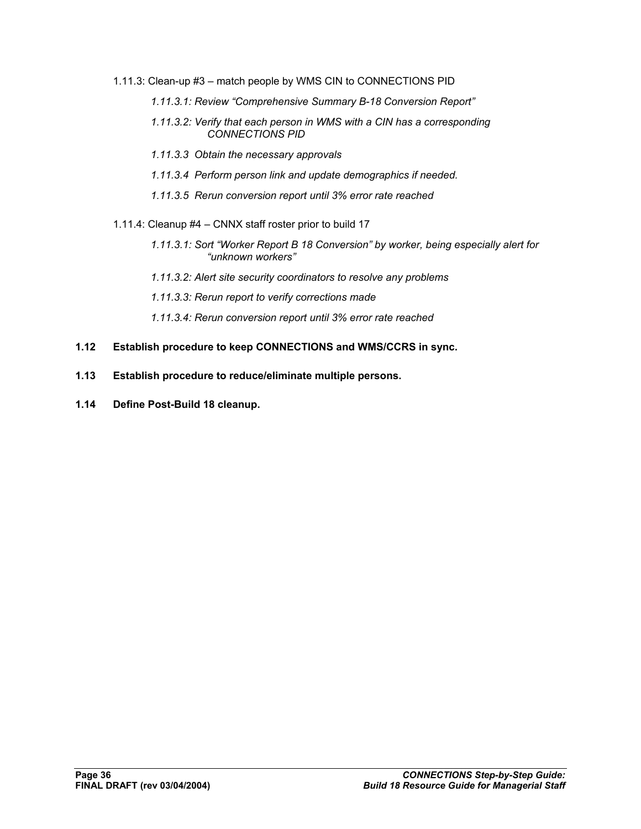- 1.11.3: Clean-up #3 match people by WMS CIN to CONNECTIONS PID
	- *1.11.3.1: Review "Comprehensive Summary B-18 Conversion Report"*
	- *1.11.3.2: Verify that each person in WMS with a CIN has a corresponding CONNECTIONS PID*
	- *1.11.3.3 Obtain the necessary approvals*
	- *1.11.3.4 Perform person link and update demographics if needed.*
	- *1.11.3.5 Rerun conversion report until 3% error rate reached*
- 1.11.4: Cleanup #4 CNNX staff roster prior to build 17
	- *1.11.3.1: Sort "Worker Report B 18 Conversion" by worker, being especially alert for "unknown workers"*
	- *1.11.3.2: Alert site security coordinators to resolve any problems*
	- *1.11.3.3: Rerun report to verify corrections made*
	- *1.11.3.4: Rerun conversion report until 3% error rate reached*
- **1.12 Establish procedure to keep CONNECTIONS and WMS/CCRS in sync.**
- **1.13 Establish procedure to reduce/eliminate multiple persons.**
- **1.14 Define Post-Build 18 cleanup.**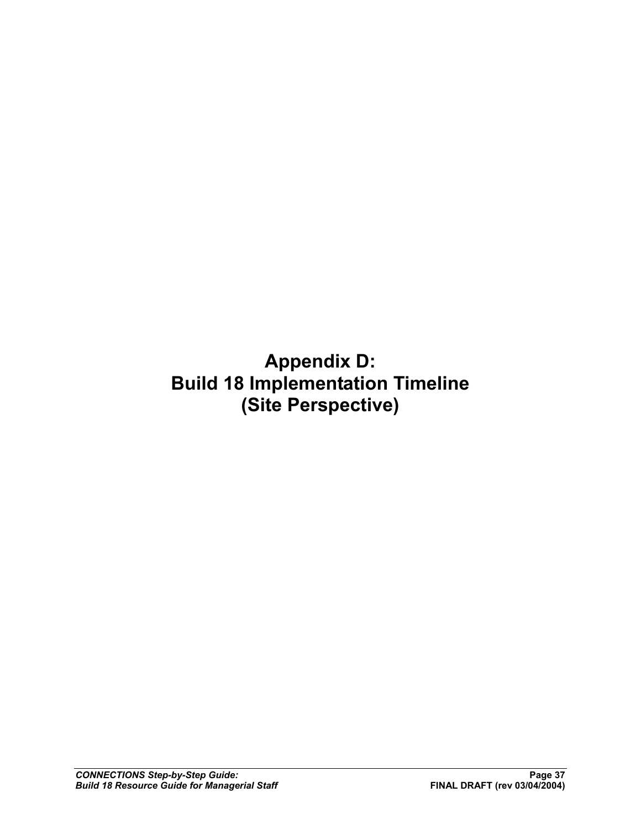**Appendix D: Build 18 Implementation Timeline (Site Perspective)**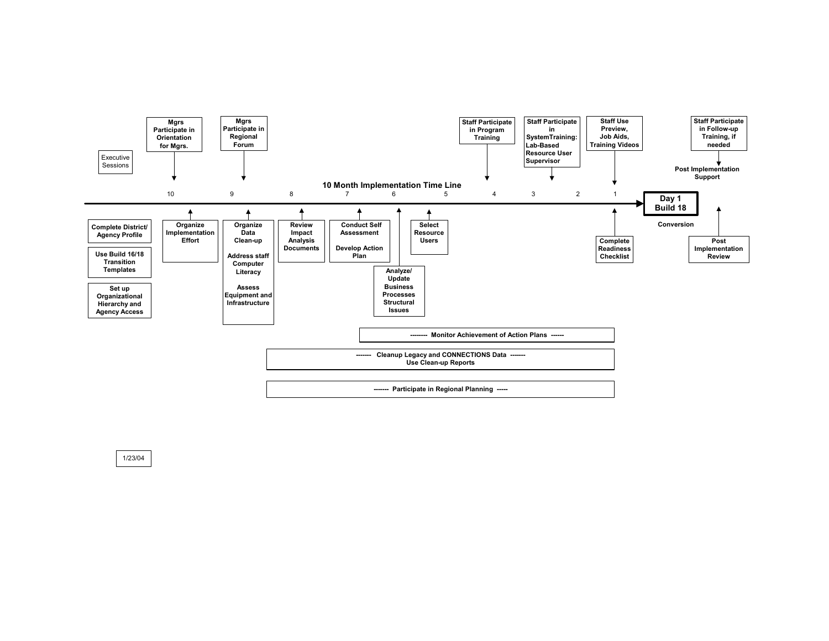

1/23/04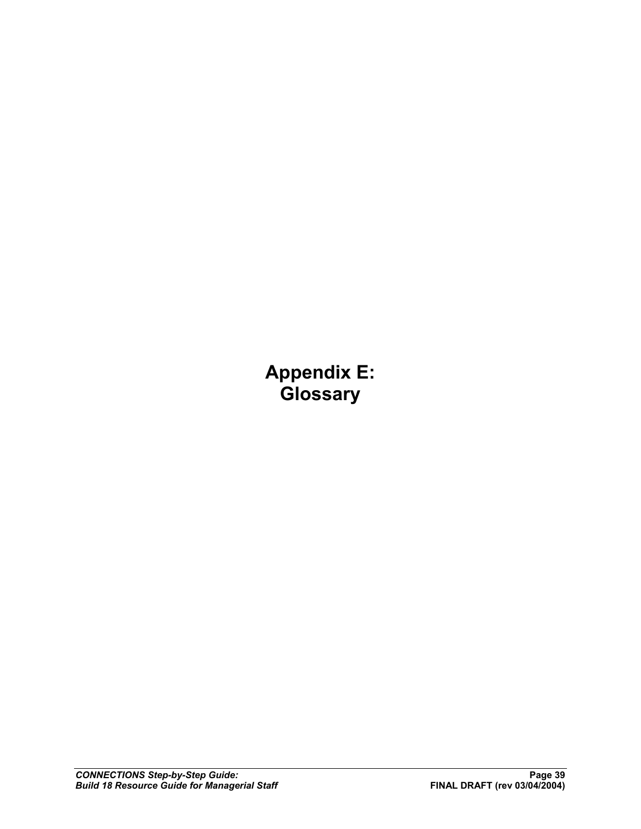**Appendix E: Glossary**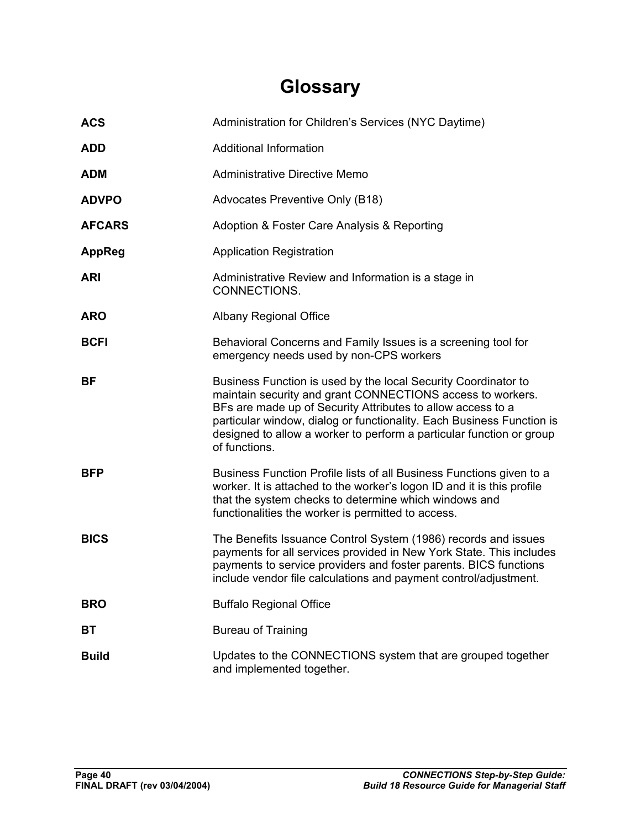# **Glossary**

| <b>ACS</b>    | Administration for Children's Services (NYC Daytime)                                                                                                                                                                                                                                                                                                          |
|---------------|---------------------------------------------------------------------------------------------------------------------------------------------------------------------------------------------------------------------------------------------------------------------------------------------------------------------------------------------------------------|
| <b>ADD</b>    | <b>Additional Information</b>                                                                                                                                                                                                                                                                                                                                 |
| <b>ADM</b>    | Administrative Directive Memo                                                                                                                                                                                                                                                                                                                                 |
| <b>ADVPO</b>  | Advocates Preventive Only (B18)                                                                                                                                                                                                                                                                                                                               |
| <b>AFCARS</b> | Adoption & Foster Care Analysis & Reporting                                                                                                                                                                                                                                                                                                                   |
| <b>AppReg</b> | <b>Application Registration</b>                                                                                                                                                                                                                                                                                                                               |
| <b>ARI</b>    | Administrative Review and Information is a stage in<br>CONNECTIONS.                                                                                                                                                                                                                                                                                           |
| <b>ARO</b>    | <b>Albany Regional Office</b>                                                                                                                                                                                                                                                                                                                                 |
| <b>BCFI</b>   | Behavioral Concerns and Family Issues is a screening tool for<br>emergency needs used by non-CPS workers                                                                                                                                                                                                                                                      |
| BF            | Business Function is used by the local Security Coordinator to<br>maintain security and grant CONNECTIONS access to workers.<br>BFs are made up of Security Attributes to allow access to a<br>particular window, dialog or functionality. Each Business Function is<br>designed to allow a worker to perform a particular function or group<br>of functions. |
| <b>BFP</b>    | Business Function Profile lists of all Business Functions given to a<br>worker. It is attached to the worker's logon ID and it is this profile<br>that the system checks to determine which windows and<br>functionalities the worker is permitted to access.                                                                                                 |
| <b>BICS</b>   | The Benefits Issuance Control System (1986) records and issues<br>payments for all services provided in New York State. This includes<br>payments to service providers and foster parents. BICS functions<br>include vendor file calculations and payment control/adjustment.                                                                                 |
| <b>BRO</b>    | <b>Buffalo Regional Office</b>                                                                                                                                                                                                                                                                                                                                |
| BТ            | <b>Bureau of Training</b>                                                                                                                                                                                                                                                                                                                                     |
| <b>Build</b>  | Updates to the CONNECTIONS system that are grouped together<br>and implemented together.                                                                                                                                                                                                                                                                      |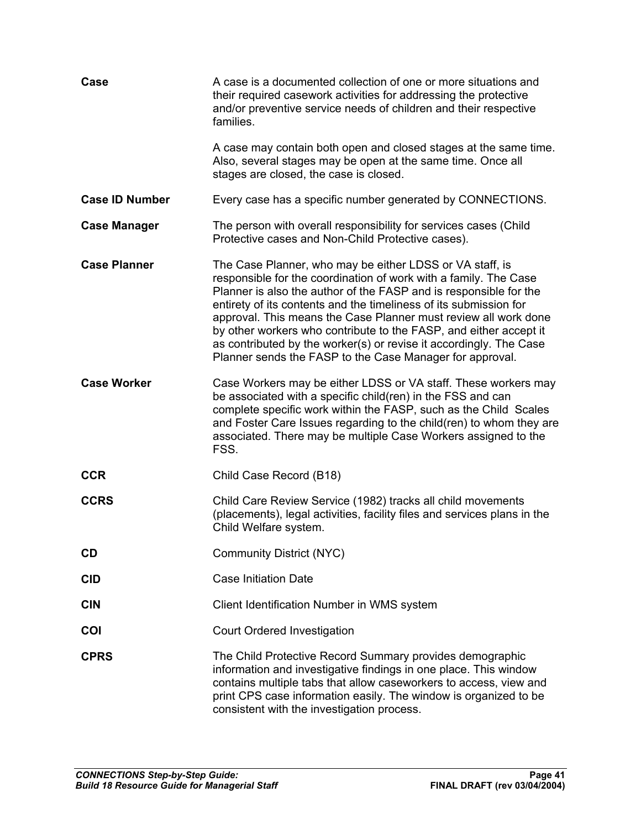| Case                  | A case is a documented collection of one or more situations and<br>their required casework activities for addressing the protective<br>and/or preventive service needs of children and their respective<br>families.                                                                                                                                                                                                                                                                                                                             |
|-----------------------|--------------------------------------------------------------------------------------------------------------------------------------------------------------------------------------------------------------------------------------------------------------------------------------------------------------------------------------------------------------------------------------------------------------------------------------------------------------------------------------------------------------------------------------------------|
|                       | A case may contain both open and closed stages at the same time.<br>Also, several stages may be open at the same time. Once all<br>stages are closed, the case is closed.                                                                                                                                                                                                                                                                                                                                                                        |
| <b>Case ID Number</b> | Every case has a specific number generated by CONNECTIONS.                                                                                                                                                                                                                                                                                                                                                                                                                                                                                       |
| <b>Case Manager</b>   | The person with overall responsibility for services cases (Child<br>Protective cases and Non-Child Protective cases).                                                                                                                                                                                                                                                                                                                                                                                                                            |
| <b>Case Planner</b>   | The Case Planner, who may be either LDSS or VA staff, is<br>responsible for the coordination of work with a family. The Case<br>Planner is also the author of the FASP and is responsible for the<br>entirety of its contents and the timeliness of its submission for<br>approval. This means the Case Planner must review all work done<br>by other workers who contribute to the FASP, and either accept it<br>as contributed by the worker(s) or revise it accordingly. The Case<br>Planner sends the FASP to the Case Manager for approval. |
| <b>Case Worker</b>    | Case Workers may be either LDSS or VA staff. These workers may<br>be associated with a specific child(ren) in the FSS and can<br>complete specific work within the FASP, such as the Child Scales<br>and Foster Care Issues regarding to the child(ren) to whom they are<br>associated. There may be multiple Case Workers assigned to the<br>FSS.                                                                                                                                                                                               |
| <b>CCR</b>            | Child Case Record (B18)                                                                                                                                                                                                                                                                                                                                                                                                                                                                                                                          |
| <b>CCRS</b>           | Child Care Review Service (1982) tracks all child movements<br>(placements), legal activities, facility files and services plans in the<br>Child Welfare system.                                                                                                                                                                                                                                                                                                                                                                                 |
| <b>CD</b>             | <b>Community District (NYC)</b>                                                                                                                                                                                                                                                                                                                                                                                                                                                                                                                  |
| <b>CID</b>            | <b>Case Initiation Date</b>                                                                                                                                                                                                                                                                                                                                                                                                                                                                                                                      |
| <b>CIN</b>            | Client Identification Number in WMS system                                                                                                                                                                                                                                                                                                                                                                                                                                                                                                       |
| COI                   | Court Ordered Investigation                                                                                                                                                                                                                                                                                                                                                                                                                                                                                                                      |
| <b>CPRS</b>           | The Child Protective Record Summary provides demographic<br>information and investigative findings in one place. This window<br>contains multiple tabs that allow caseworkers to access, view and<br>print CPS case information easily. The window is organized to be<br>consistent with the investigation process.                                                                                                                                                                                                                              |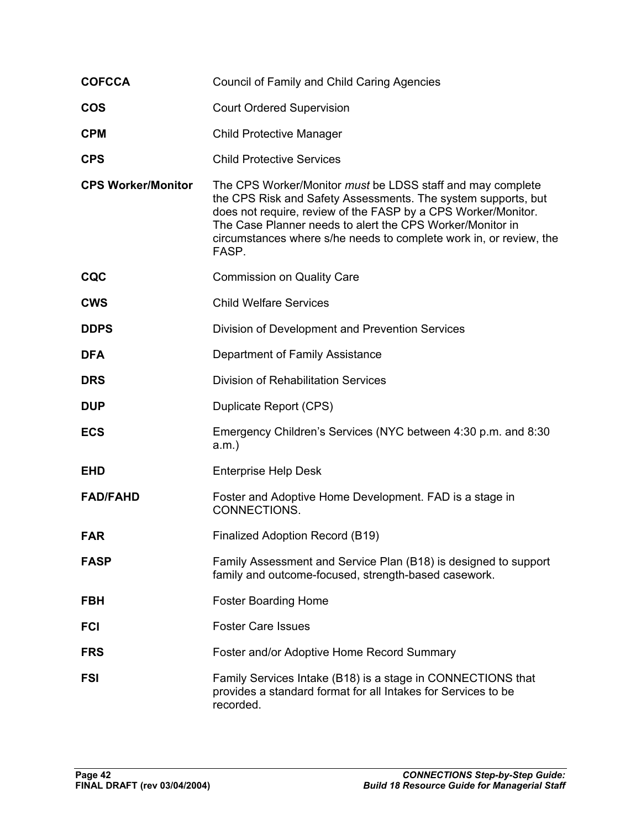| <b>COFCCA</b>             | <b>Council of Family and Child Caring Agencies</b>                                                                                                                                                                                                                                                                                       |
|---------------------------|------------------------------------------------------------------------------------------------------------------------------------------------------------------------------------------------------------------------------------------------------------------------------------------------------------------------------------------|
| <b>COS</b>                | <b>Court Ordered Supervision</b>                                                                                                                                                                                                                                                                                                         |
| <b>CPM</b>                | <b>Child Protective Manager</b>                                                                                                                                                                                                                                                                                                          |
| <b>CPS</b>                | <b>Child Protective Services</b>                                                                                                                                                                                                                                                                                                         |
| <b>CPS Worker/Monitor</b> | The CPS Worker/Monitor must be LDSS staff and may complete<br>the CPS Risk and Safety Assessments. The system supports, but<br>does not require, review of the FASP by a CPS Worker/Monitor.<br>The Case Planner needs to alert the CPS Worker/Monitor in<br>circumstances where s/he needs to complete work in, or review, the<br>FASP. |
| <b>CQC</b>                | <b>Commission on Quality Care</b>                                                                                                                                                                                                                                                                                                        |
| <b>CWS</b>                | <b>Child Welfare Services</b>                                                                                                                                                                                                                                                                                                            |
| <b>DDPS</b>               | Division of Development and Prevention Services                                                                                                                                                                                                                                                                                          |
| <b>DFA</b>                | Department of Family Assistance                                                                                                                                                                                                                                                                                                          |
| <b>DRS</b>                | Division of Rehabilitation Services                                                                                                                                                                                                                                                                                                      |
| <b>DUP</b>                | Duplicate Report (CPS)                                                                                                                                                                                                                                                                                                                   |
| <b>ECS</b>                | Emergency Children's Services (NYC between 4:30 p.m. and 8:30<br>$a.m.$ )                                                                                                                                                                                                                                                                |
| <b>EHD</b>                | <b>Enterprise Help Desk</b>                                                                                                                                                                                                                                                                                                              |
| <b>FAD/FAHD</b>           | Foster and Adoptive Home Development. FAD is a stage in<br>CONNECTIONS.                                                                                                                                                                                                                                                                  |
| <b>FAR</b>                | Finalized Adoption Record (B19)                                                                                                                                                                                                                                                                                                          |
| <b>FASP</b>               | Family Assessment and Service Plan (B18) is designed to support<br>family and outcome-focused, strength-based casework.                                                                                                                                                                                                                  |
| <b>FBH</b>                | <b>Foster Boarding Home</b>                                                                                                                                                                                                                                                                                                              |
| <b>FCI</b>                | <b>Foster Care Issues</b>                                                                                                                                                                                                                                                                                                                |
| <b>FRS</b>                | Foster and/or Adoptive Home Record Summary                                                                                                                                                                                                                                                                                               |
| <b>FSI</b>                | Family Services Intake (B18) is a stage in CONNECTIONS that<br>provides a standard format for all Intakes for Services to be<br>recorded.                                                                                                                                                                                                |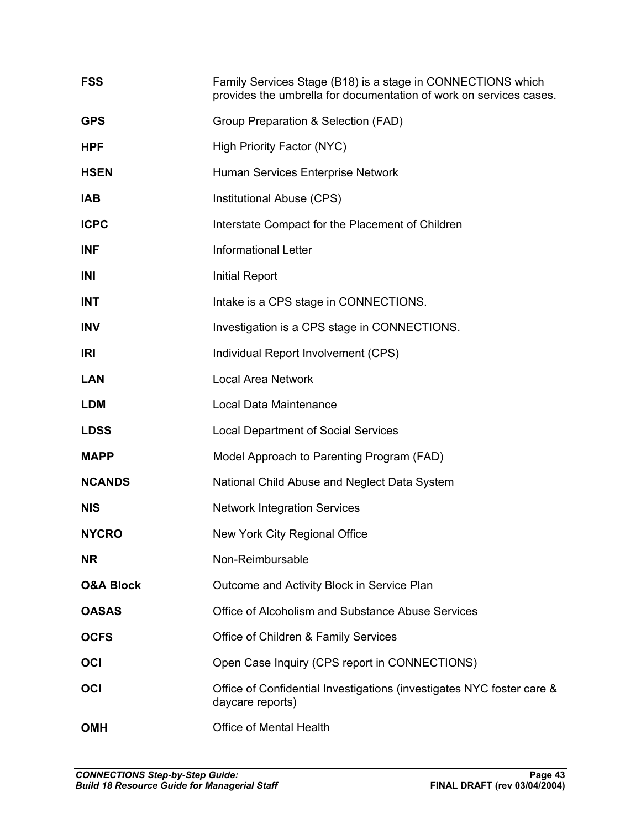| <b>FSS</b>           | Family Services Stage (B18) is a stage in CONNECTIONS which<br>provides the umbrella for documentation of work on services cases. |
|----------------------|-----------------------------------------------------------------------------------------------------------------------------------|
| <b>GPS</b>           | Group Preparation & Selection (FAD)                                                                                               |
| <b>HPF</b>           | <b>High Priority Factor (NYC)</b>                                                                                                 |
| <b>HSEN</b>          | Human Services Enterprise Network                                                                                                 |
| <b>IAB</b>           | Institutional Abuse (CPS)                                                                                                         |
| <b>ICPC</b>          | Interstate Compact for the Placement of Children                                                                                  |
| <b>INF</b>           | <b>Informational Letter</b>                                                                                                       |
| INI                  | <b>Initial Report</b>                                                                                                             |
| <b>INT</b>           | Intake is a CPS stage in CONNECTIONS.                                                                                             |
| <b>INV</b>           | Investigation is a CPS stage in CONNECTIONS.                                                                                      |
| IRI                  | Individual Report Involvement (CPS)                                                                                               |
| <b>LAN</b>           | <b>Local Area Network</b>                                                                                                         |
| <b>LDM</b>           | Local Data Maintenance                                                                                                            |
| <b>LDSS</b>          | <b>Local Department of Social Services</b>                                                                                        |
| <b>MAPP</b>          | Model Approach to Parenting Program (FAD)                                                                                         |
| <b>NCANDS</b>        | National Child Abuse and Neglect Data System                                                                                      |
| <b>NIS</b>           | <b>Network Integration Services</b>                                                                                               |
| <b>NYCRO</b>         | New York City Regional Office                                                                                                     |
| NR.                  | Non-Reimbursable                                                                                                                  |
| <b>O&amp;A Block</b> | Outcome and Activity Block in Service Plan                                                                                        |
| <b>OASAS</b>         | Office of Alcoholism and Substance Abuse Services                                                                                 |
| <b>OCFS</b>          | Office of Children & Family Services                                                                                              |
| OCI                  | Open Case Inquiry (CPS report in CONNECTIONS)                                                                                     |
| OCI                  | Office of Confidential Investigations (investigates NYC foster care &<br>daycare reports)                                         |
| <b>OMH</b>           | Office of Mental Health                                                                                                           |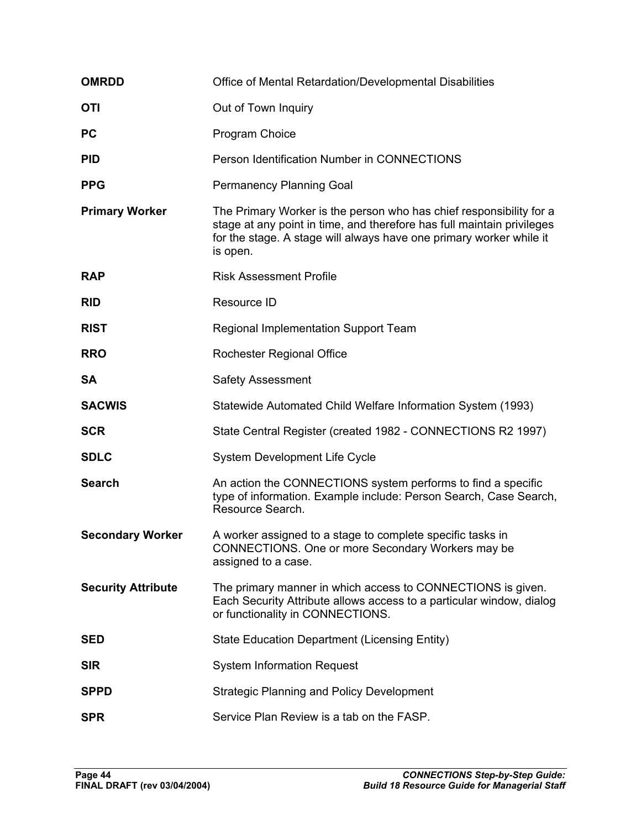| <b>OMRDD</b>              | Office of Mental Retardation/Developmental Disabilities                                                                                                                                                                          |
|---------------------------|----------------------------------------------------------------------------------------------------------------------------------------------------------------------------------------------------------------------------------|
| <b>OTI</b>                | Out of Town Inquiry                                                                                                                                                                                                              |
| <b>PC</b>                 | Program Choice                                                                                                                                                                                                                   |
| <b>PID</b>                | Person Identification Number in CONNECTIONS                                                                                                                                                                                      |
| <b>PPG</b>                | Permanency Planning Goal                                                                                                                                                                                                         |
| <b>Primary Worker</b>     | The Primary Worker is the person who has chief responsibility for a<br>stage at any point in time, and therefore has full maintain privileges<br>for the stage. A stage will always have one primary worker while it<br>is open. |
| <b>RAP</b>                | <b>Risk Assessment Profile</b>                                                                                                                                                                                                   |
| <b>RID</b>                | Resource ID                                                                                                                                                                                                                      |
| <b>RIST</b>               | Regional Implementation Support Team                                                                                                                                                                                             |
| <b>RRO</b>                | Rochester Regional Office                                                                                                                                                                                                        |
| <b>SA</b>                 | <b>Safety Assessment</b>                                                                                                                                                                                                         |
| <b>SACWIS</b>             | Statewide Automated Child Welfare Information System (1993)                                                                                                                                                                      |
| <b>SCR</b>                | State Central Register (created 1982 - CONNECTIONS R2 1997)                                                                                                                                                                      |
| <b>SDLC</b>               | System Development Life Cycle                                                                                                                                                                                                    |
| <b>Search</b>             | An action the CONNECTIONS system performs to find a specific<br>type of information. Example include: Person Search, Case Search,<br>Resource Search.                                                                            |
| <b>Secondary Worker</b>   | A worker assigned to a stage to complete specific tasks in<br>CONNECTIONS. One or more Secondary Workers may be<br>assigned to a case.                                                                                           |
| <b>Security Attribute</b> | The primary manner in which access to CONNECTIONS is given.<br>Each Security Attribute allows access to a particular window, dialog<br>or functionality in CONNECTIONS.                                                          |
| <b>SED</b>                | <b>State Education Department (Licensing Entity)</b>                                                                                                                                                                             |
| <b>SIR</b>                | <b>System Information Request</b>                                                                                                                                                                                                |
| <b>SPPD</b>               | <b>Strategic Planning and Policy Development</b>                                                                                                                                                                                 |
| <b>SPR</b>                | Service Plan Review is a tab on the FASP.                                                                                                                                                                                        |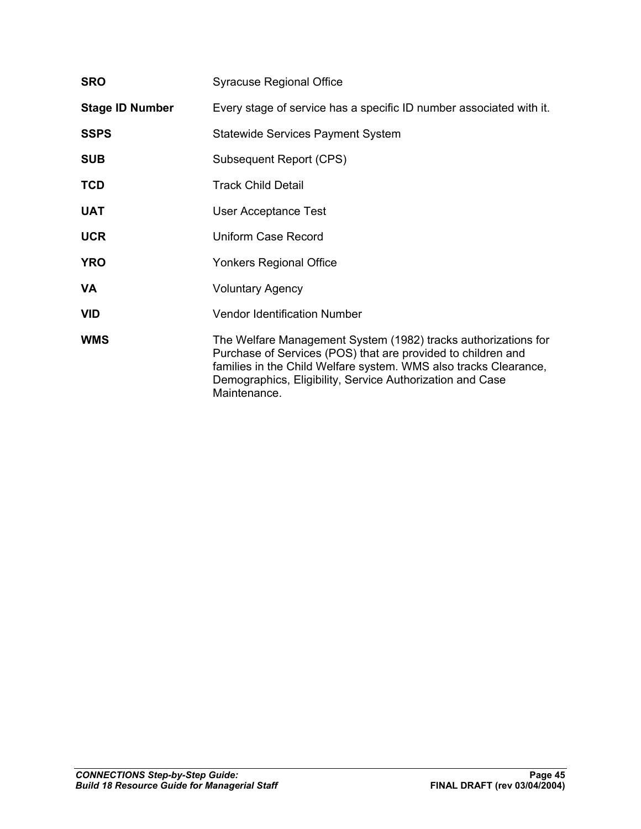| <b>SRO</b>             | <b>Syracuse Regional Office</b>                                                                                                                                                                                                                                                 |  |
|------------------------|---------------------------------------------------------------------------------------------------------------------------------------------------------------------------------------------------------------------------------------------------------------------------------|--|
| <b>Stage ID Number</b> | Every stage of service has a specific ID number associated with it.                                                                                                                                                                                                             |  |
| <b>SSPS</b>            | <b>Statewide Services Payment System</b>                                                                                                                                                                                                                                        |  |
| <b>SUB</b>             | Subsequent Report (CPS)                                                                                                                                                                                                                                                         |  |
| <b>TCD</b>             | <b>Track Child Detail</b>                                                                                                                                                                                                                                                       |  |
| <b>UAT</b>             | <b>User Acceptance Test</b>                                                                                                                                                                                                                                                     |  |
| <b>UCR</b>             | <b>Uniform Case Record</b>                                                                                                                                                                                                                                                      |  |
| <b>YRO</b>             | Yonkers Regional Office                                                                                                                                                                                                                                                         |  |
| VA                     | <b>Voluntary Agency</b>                                                                                                                                                                                                                                                         |  |
| <b>VID</b>             | <b>Vendor Identification Number</b>                                                                                                                                                                                                                                             |  |
| <b>WMS</b>             | The Welfare Management System (1982) tracks authorizations for<br>Purchase of Services (POS) that are provided to children and<br>families in the Child Welfare system. WMS also tracks Clearance,<br>Demographics, Eligibility, Service Authorization and Case<br>Maintenance. |  |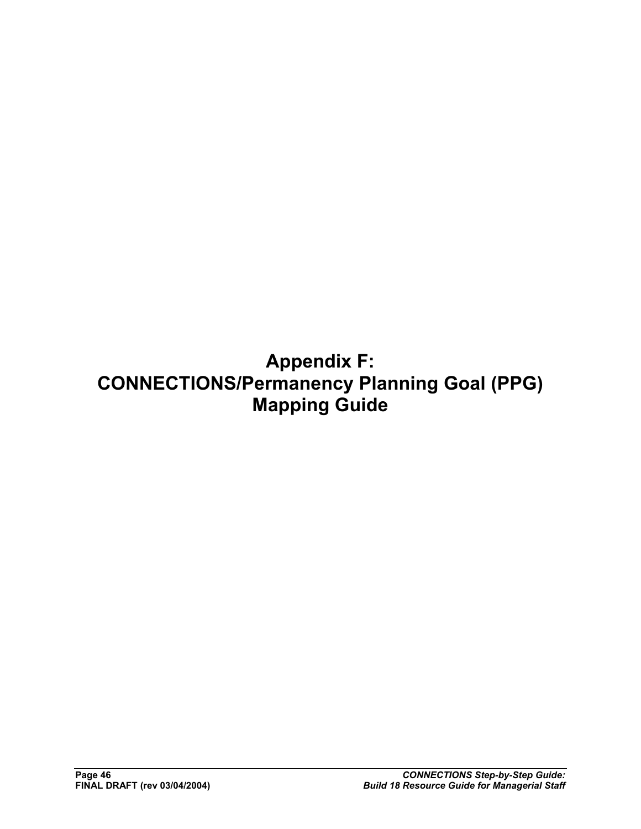**Appendix F: CONNECTIONS/Permanency Planning Goal (PPG) Mapping Guide**